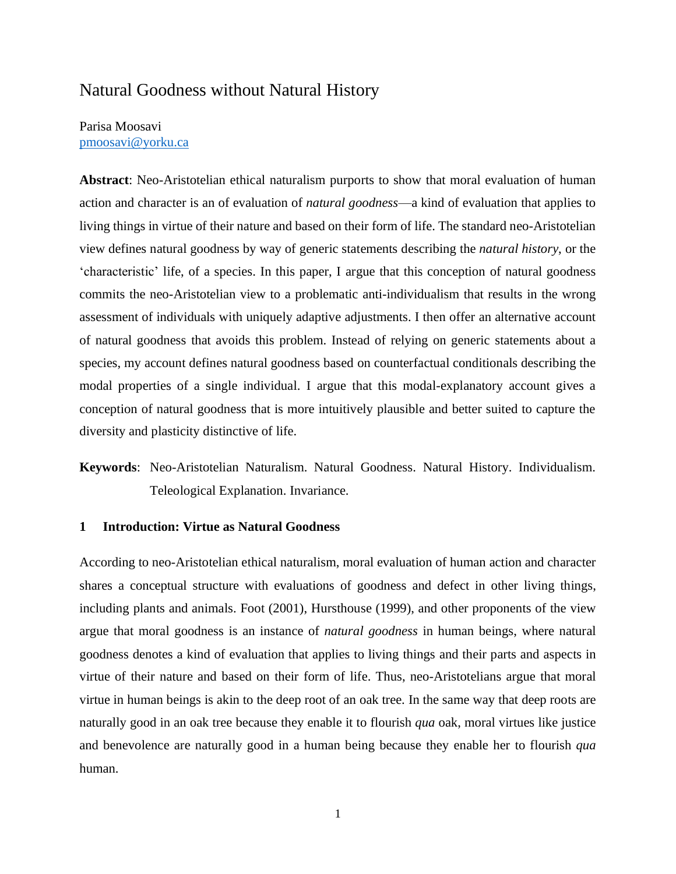# Natural Goodness without Natural History

## Parisa Moosavi [pmoosavi@yorku.ca](mailto:pmoosavi@yorku.ca)

**Abstract**: Neo-Aristotelian ethical naturalism purports to show that moral evaluation of human action and character is an of evaluation of *natural goodness*—a kind of evaluation that applies to living things in virtue of their nature and based on their form of life. The standard neo-Aristotelian view defines natural goodness by way of generic statements describing the *natural history*, or the 'characteristic' life, of a species. In this paper, I argue that this conception of natural goodness commits the neo-Aristotelian view to a problematic anti-individualism that results in the wrong assessment of individuals with uniquely adaptive adjustments. I then offer an alternative account of natural goodness that avoids this problem. Instead of relying on generic statements about a species, my account defines natural goodness based on counterfactual conditionals describing the modal properties of a single individual. I argue that this modal-explanatory account gives a conception of natural goodness that is more intuitively plausible and better suited to capture the diversity and plasticity distinctive of life.

**Keywords**: Neo-Aristotelian Naturalism. Natural Goodness. Natural History. Individualism. Teleological Explanation. Invariance.

#### **1 Introduction: Virtue as Natural Goodness**

According to neo-Aristotelian ethical naturalism, moral evaluation of human action and character shares a conceptual structure with evaluations of goodness and defect in other living things, including plants and animals. Foot (2001), Hursthouse (1999), and other proponents of the view argue that moral goodness is an instance of *natural goodness* in human beings, where natural goodness denotes a kind of evaluation that applies to living things and their parts and aspects in virtue of their nature and based on their form of life. Thus, neo-Aristotelians argue that moral virtue in human beings is akin to the deep root of an oak tree. In the same way that deep roots are naturally good in an oak tree because they enable it to flourish *qua* oak, moral virtues like justice and benevolence are naturally good in a human being because they enable her to flourish *qua* human.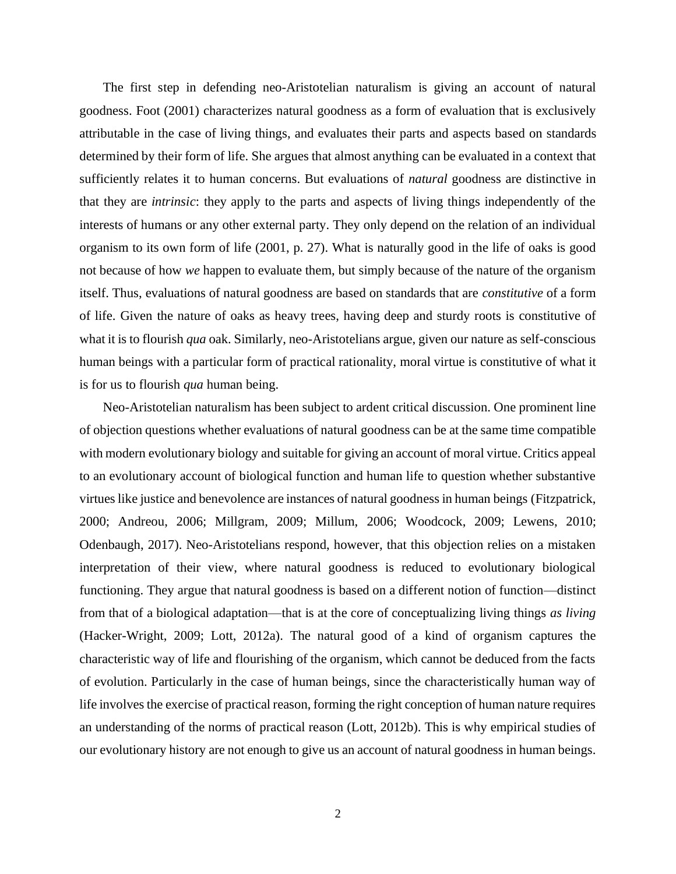The first step in defending neo-Aristotelian naturalism is giving an account of natural goodness. Foot (2001) characterizes natural goodness as a form of evaluation that is exclusively attributable in the case of living things, and evaluates their parts and aspects based on standards determined by their form of life. She argues that almost anything can be evaluated in a context that sufficiently relates it to human concerns. But evaluations of *natural* goodness are distinctive in that they are *intrinsic*: they apply to the parts and aspects of living things independently of the interests of humans or any other external party. They only depend on the relation of an individual organism to its own form of life (2001, p. 27). What is naturally good in the life of oaks is good not because of how *we* happen to evaluate them, but simply because of the nature of the organism itself. Thus, evaluations of natural goodness are based on standards that are *constitutive* of a form of life. Given the nature of oaks as heavy trees, having deep and sturdy roots is constitutive of what it is to flourish *qua* oak. Similarly, neo-Aristotelians argue, given our nature as self-conscious human beings with a particular form of practical rationality, moral virtue is constitutive of what it is for us to flourish *qua* human being.

Neo-Aristotelian naturalism has been subject to ardent critical discussion. One prominent line of objection questions whether evaluations of natural goodness can be at the same time compatible with modern evolutionary biology and suitable for giving an account of moral virtue. Critics appeal to an evolutionary account of biological function and human life to question whether substantive virtues like justice and benevolence are instances of natural goodness in human beings (Fitzpatrick, 2000; Andreou, 2006; Millgram, 2009; Millum, 2006; Woodcock, 2009; Lewens, 2010; Odenbaugh, 2017). Neo-Aristotelians respond, however, that this objection relies on a mistaken interpretation of their view, where natural goodness is reduced to evolutionary biological functioning. They argue that natural goodness is based on a different notion of function—distinct from that of a biological adaptation—that is at the core of conceptualizing living things *as living*  (Hacker-Wright, 2009; Lott, 2012a). The natural good of a kind of organism captures the characteristic way of life and flourishing of the organism, which cannot be deduced from the facts of evolution. Particularly in the case of human beings, since the characteristically human way of life involves the exercise of practical reason, forming the right conception of human nature requires an understanding of the norms of practical reason (Lott, 2012b). This is why empirical studies of our evolutionary history are not enough to give us an account of natural goodness in human beings.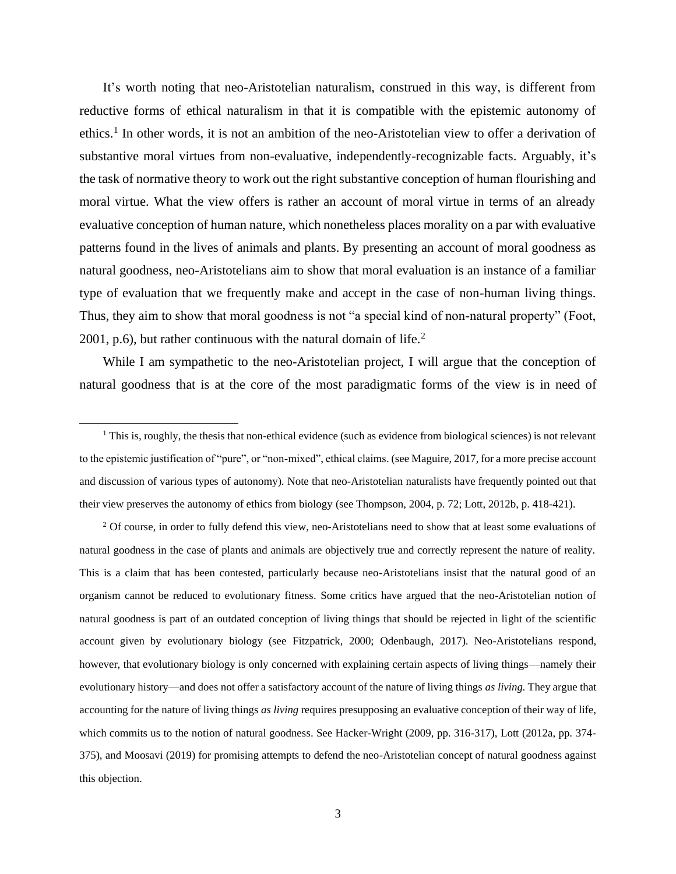It's worth noting that neo-Aristotelian naturalism, construed in this way, is different from reductive forms of ethical naturalism in that it is compatible with the epistemic autonomy of ethics.<sup>1</sup> In other words, it is not an ambition of the neo-Aristotelian view to offer a derivation of substantive moral virtues from non-evaluative, independently-recognizable facts. Arguably, it's the task of normative theory to work out the right substantive conception of human flourishing and moral virtue. What the view offers is rather an account of moral virtue in terms of an already evaluative conception of human nature, which nonetheless places morality on a par with evaluative patterns found in the lives of animals and plants. By presenting an account of moral goodness as natural goodness, neo-Aristotelians aim to show that moral evaluation is an instance of a familiar type of evaluation that we frequently make and accept in the case of non-human living things. Thus, they aim to show that moral goodness is not "a special kind of non-natural property" (Foot, 2001, p.6), but rather continuous with the natural domain of life. $<sup>2</sup>$ </sup>

While I am sympathetic to the neo-Aristotelian project, I will argue that the conception of natural goodness that is at the core of the most paradigmatic forms of the view is in need of

<sup>2</sup> Of course, in order to fully defend this view, neo-Aristotelians need to show that at least some evaluations of natural goodness in the case of plants and animals are objectively true and correctly represent the nature of reality. This is a claim that has been contested, particularly because neo-Aristotelians insist that the natural good of an organism cannot be reduced to evolutionary fitness. Some critics have argued that the neo-Aristotelian notion of natural goodness is part of an outdated conception of living things that should be rejected in light of the scientific account given by evolutionary biology (see Fitzpatrick, 2000; Odenbaugh, 2017). Neo-Aristotelians respond, however, that evolutionary biology is only concerned with explaining certain aspects of living things—namely their evolutionary history—and does not offer a satisfactory account of the nature of living things *as living.* They argue that accounting for the nature of living things *as living* requires presupposing an evaluative conception of their way of life, which commits us to the notion of natural goodness. See Hacker-Wright (2009, pp. 316-317), Lott (2012a, pp. 374-375), and Moosavi (2019) for promising attempts to defend the neo-Aristotelian concept of natural goodness against this objection.

 $1$  This is, roughly, the thesis that non-ethical evidence (such as evidence from biological sciences) is not relevant to the epistemic justification of "pure", or "non-mixed", ethical claims. (see Maguire, 2017, for a more precise account and discussion of various types of autonomy). Note that neo-Aristotelian naturalists have frequently pointed out that their view preserves the autonomy of ethics from biology (see Thompson, 2004, p. 72; Lott, 2012b, p. 418-421).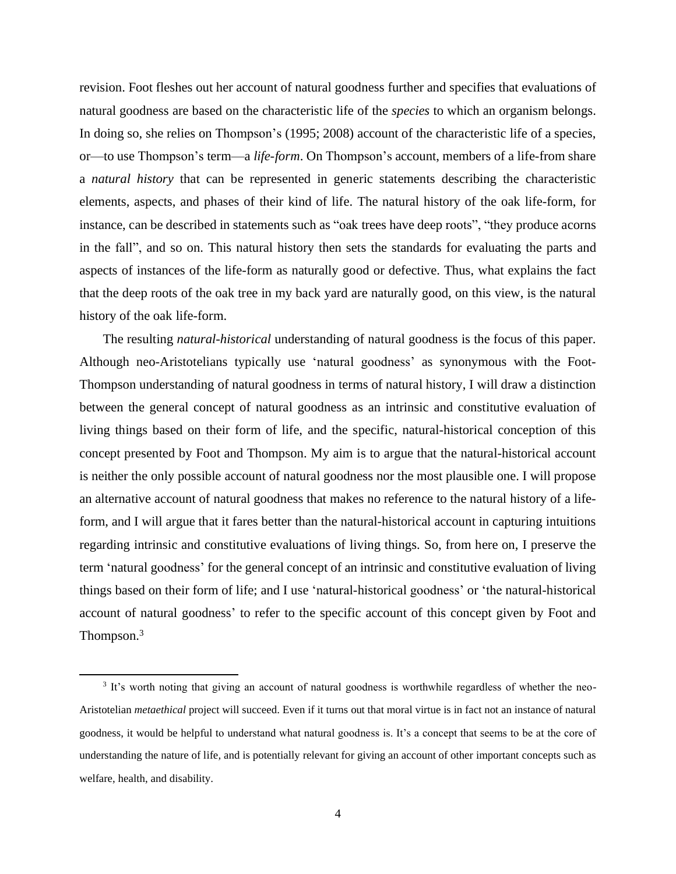revision. Foot fleshes out her account of natural goodness further and specifies that evaluations of natural goodness are based on the characteristic life of the *species* to which an organism belongs. In doing so, she relies on Thompson's (1995; 2008) account of the characteristic life of a species, or—to use Thompson's term—a *life-form*. On Thompson's account, members of a life-from share a *natural history* that can be represented in generic statements describing the characteristic elements, aspects, and phases of their kind of life. The natural history of the oak life-form, for instance, can be described in statements such as "oak trees have deep roots", "they produce acorns in the fall", and so on. This natural history then sets the standards for evaluating the parts and aspects of instances of the life-form as naturally good or defective. Thus, what explains the fact that the deep roots of the oak tree in my back yard are naturally good, on this view, is the natural history of the oak life-form.

The resulting *natural-historical* understanding of natural goodness is the focus of this paper. Although neo-Aristotelians typically use 'natural goodness' as synonymous with the Foot-Thompson understanding of natural goodness in terms of natural history, I will draw a distinction between the general concept of natural goodness as an intrinsic and constitutive evaluation of living things based on their form of life, and the specific, natural-historical conception of this concept presented by Foot and Thompson. My aim is to argue that the natural-historical account is neither the only possible account of natural goodness nor the most plausible one. I will propose an alternative account of natural goodness that makes no reference to the natural history of a lifeform, and I will argue that it fares better than the natural-historical account in capturing intuitions regarding intrinsic and constitutive evaluations of living things. So, from here on, I preserve the term 'natural goodness' for the general concept of an intrinsic and constitutive evaluation of living things based on their form of life; and I use 'natural-historical goodness' or 'the natural-historical account of natural goodness' to refer to the specific account of this concept given by Foot and Thompson.<sup>3</sup>

<sup>&</sup>lt;sup>3</sup> It's worth noting that giving an account of natural goodness is worthwhile regardless of whether the neo-Aristotelian *metaethical* project will succeed. Even if it turns out that moral virtue is in fact not an instance of natural goodness, it would be helpful to understand what natural goodness is. It's a concept that seems to be at the core of understanding the nature of life*,* and is potentially relevant for giving an account of other important concepts such as welfare, health, and disability.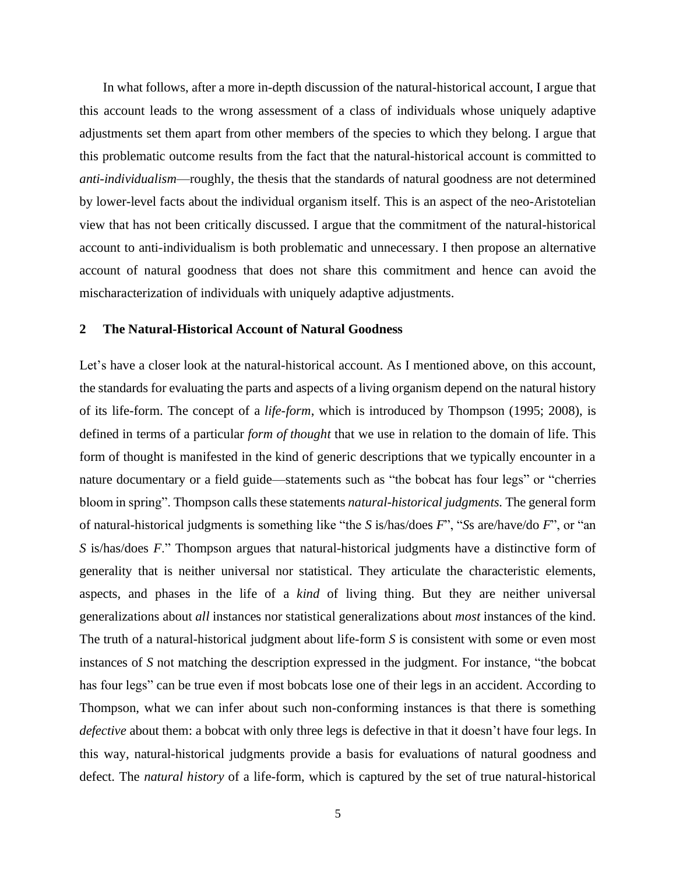In what follows, after a more in-depth discussion of the natural-historical account, I argue that this account leads to the wrong assessment of a class of individuals whose uniquely adaptive adjustments set them apart from other members of the species to which they belong. I argue that this problematic outcome results from the fact that the natural-historical account is committed to *anti-individualism*—roughly, the thesis that the standards of natural goodness are not determined by lower-level facts about the individual organism itself. This is an aspect of the neo-Aristotelian view that has not been critically discussed. I argue that the commitment of the natural-historical account to anti-individualism is both problematic and unnecessary. I then propose an alternative account of natural goodness that does not share this commitment and hence can avoid the mischaracterization of individuals with uniquely adaptive adjustments.

#### **2 The Natural-Historical Account of Natural Goodness**

Let's have a closer look at the natural-historical account. As I mentioned above, on this account, the standards for evaluating the parts and aspects of a living organism depend on the natural history of its life-form. The concept of a *life-form*, which is introduced by Thompson (1995; 2008), is defined in terms of a particular *form of thought* that we use in relation to the domain of life. This form of thought is manifested in the kind of generic descriptions that we typically encounter in a nature documentary or a field guide—statements such as "the bobcat has four legs" or "cherries bloom in spring". Thompson calls these statements *natural-historical judgments.* The general form of natural-historical judgments is something like "the *S* is/has/does *F*", "*S*s are/have/do *F*", or "an *S* is/has/does *F*." Thompson argues that natural-historical judgments have a distinctive form of generality that is neither universal nor statistical. They articulate the characteristic elements, aspects, and phases in the life of a *kind* of living thing. But they are neither universal generalizations about *all* instances nor statistical generalizations about *most* instances of the kind. The truth of a natural-historical judgment about life-form *S* is consistent with some or even most instances of *S* not matching the description expressed in the judgment. For instance, "the bobcat has four legs" can be true even if most bobcats lose one of their legs in an accident. According to Thompson, what we can infer about such non-conforming instances is that there is something *defective* about them: a bobcat with only three legs is defective in that it doesn't have four legs. In this way, natural-historical judgments provide a basis for evaluations of natural goodness and defect. The *natural history* of a life-form, which is captured by the set of true natural-historical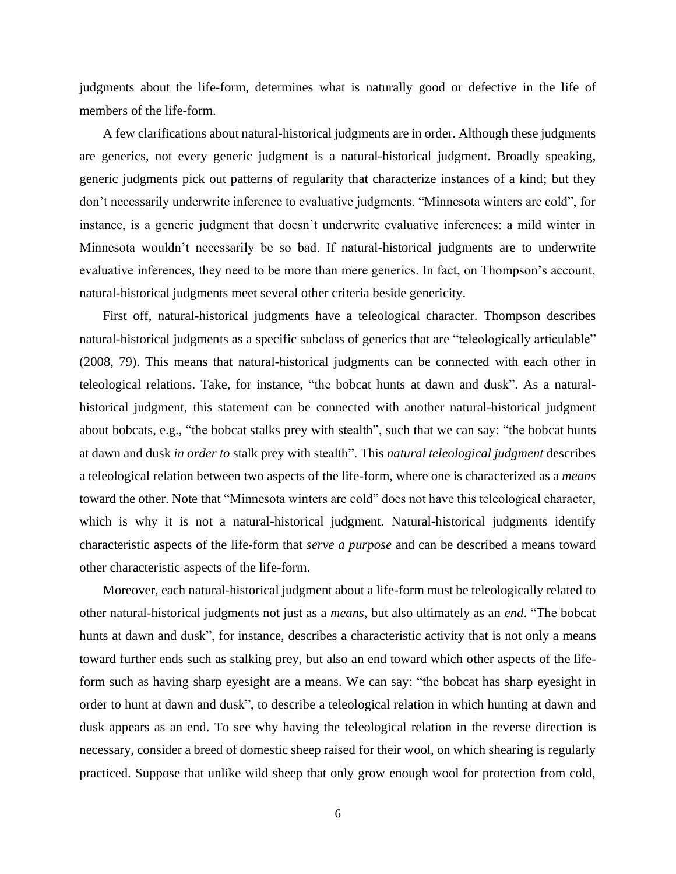judgments about the life-form, determines what is naturally good or defective in the life of members of the life-form.

A few clarifications about natural-historical judgments are in order. Although these judgments are generics, not every generic judgment is a natural-historical judgment. Broadly speaking, generic judgments pick out patterns of regularity that characterize instances of a kind; but they don't necessarily underwrite inference to evaluative judgments. "Minnesota winters are cold", for instance, is a generic judgment that doesn't underwrite evaluative inferences: a mild winter in Minnesota wouldn't necessarily be so bad. If natural-historical judgments are to underwrite evaluative inferences, they need to be more than mere generics. In fact, on Thompson's account, natural-historical judgments meet several other criteria beside genericity.

First off, natural-historical judgments have a teleological character. Thompson describes natural-historical judgments as a specific subclass of generics that are "teleologically articulable" (2008, 79). This means that natural-historical judgments can be connected with each other in teleological relations. Take, for instance, "the bobcat hunts at dawn and dusk". As a naturalhistorical judgment, this statement can be connected with another natural-historical judgment about bobcats, e.g., "the bobcat stalks prey with stealth", such that we can say: "the bobcat hunts at dawn and dusk *in order to* stalk prey with stealth". This *natural teleological judgment* describes a teleological relation between two aspects of the life-form, where one is characterized as a *means* toward the other. Note that "Minnesota winters are cold" does not have this teleological character, which is why it is not a natural-historical judgment. Natural-historical judgments identify characteristic aspects of the life-form that *serve a purpose* and can be described a means toward other characteristic aspects of the life-form.

Moreover, each natural-historical judgment about a life-form must be teleologically related to other natural-historical judgments not just as a *means*, but also ultimately as an *end*. "The bobcat hunts at dawn and dusk", for instance, describes a characteristic activity that is not only a means toward further ends such as stalking prey, but also an end toward which other aspects of the lifeform such as having sharp eyesight are a means. We can say: "the bobcat has sharp eyesight in order to hunt at dawn and dusk", to describe a teleological relation in which hunting at dawn and dusk appears as an end. To see why having the teleological relation in the reverse direction is necessary, consider a breed of domestic sheep raised for their wool, on which shearing is regularly practiced. Suppose that unlike wild sheep that only grow enough wool for protection from cold,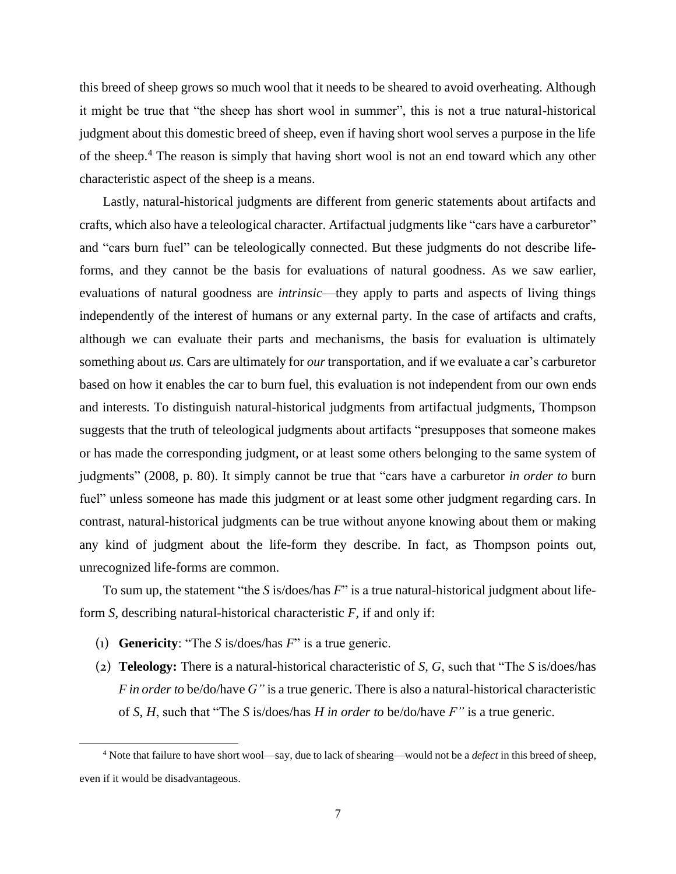this breed of sheep grows so much wool that it needs to be sheared to avoid overheating. Although it might be true that "the sheep has short wool in summer", this is not a true natural-historical judgment about this domestic breed of sheep, even if having short wool serves a purpose in the life of the sheep.<sup>4</sup> The reason is simply that having short wool is not an end toward which any other characteristic aspect of the sheep is a means.

Lastly, natural-historical judgments are different from generic statements about artifacts and crafts, which also have a teleological character. Artifactual judgments like "cars have a carburetor" and "cars burn fuel" can be teleologically connected. But these judgments do not describe lifeforms, and they cannot be the basis for evaluations of natural goodness. As we saw earlier, evaluations of natural goodness are *intrinsic*—they apply to parts and aspects of living things independently of the interest of humans or any external party. In the case of artifacts and crafts, although we can evaluate their parts and mechanisms, the basis for evaluation is ultimately something about *us.* Cars are ultimately for *our*transportation, and if we evaluate a car's carburetor based on how it enables the car to burn fuel, this evaluation is not independent from our own ends and interests. To distinguish natural-historical judgments from artifactual judgments, Thompson suggests that the truth of teleological judgments about artifacts "presupposes that someone makes or has made the corresponding judgment, or at least some others belonging to the same system of judgments" (2008, p. 80). It simply cannot be true that "cars have a carburetor *in order to* burn fuel" unless someone has made this judgment or at least some other judgment regarding cars. In contrast, natural-historical judgments can be true without anyone knowing about them or making any kind of judgment about the life-form they describe. In fact, as Thompson points out, unrecognized life-forms are common.

To sum up, the statement "the *S* is/does/has *F*" is a true natural-historical judgment about lifeform *S*, describing natural-historical characteristic *F,* if and only if:

- (1) **Genericity**: "The *S* is/does/has *F*" is a true generic.
- (2) **Teleology:** There is a natural-historical characteristic of *S*, *G*, such that "The *S* is/does/has *F in order to* be/do/have *G"* is a true generic. There is also a natural-historical characteristic of *S*, *H*, such that "The *S* is/does/has *H in order to* be/do/have *F"* is a true generic.

<sup>4</sup> Note that failure to have short wool—say, due to lack of shearing—would not be a *defect* in this breed of sheep, even if it would be disadvantageous.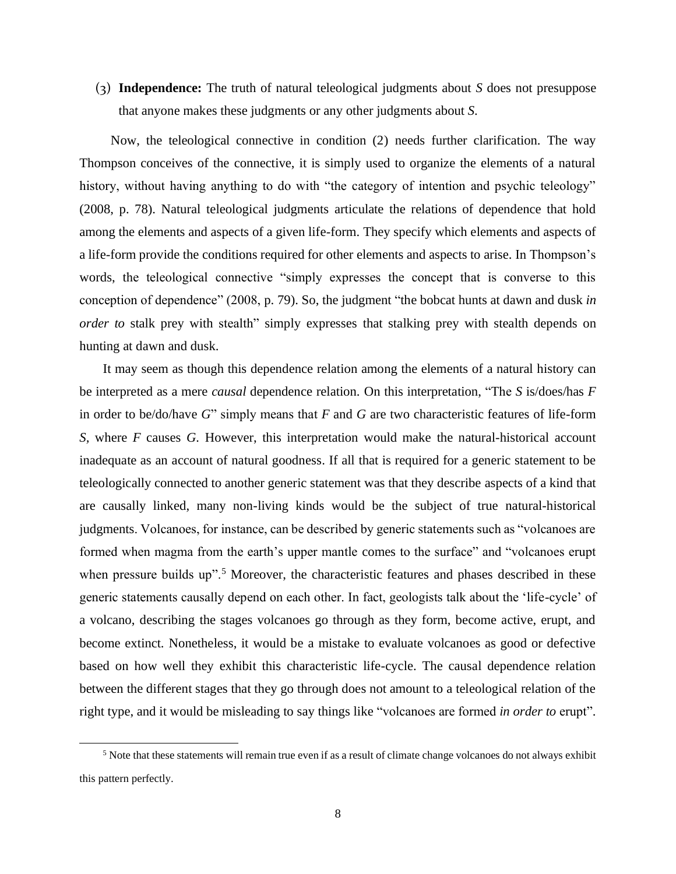(3) **Independence:** The truth of natural teleological judgments about *S* does not presuppose that anyone makes these judgments or any other judgments about *S*.

Now, the teleological connective in condition (2) needs further clarification. The way Thompson conceives of the connective, it is simply used to organize the elements of a natural history, without having anything to do with "the category of intention and psychic teleology" (2008, p. 78). Natural teleological judgments articulate the relations of dependence that hold among the elements and aspects of a given life-form. They specify which elements and aspects of a life-form provide the conditions required for other elements and aspects to arise. In Thompson's words, the teleological connective "simply expresses the concept that is converse to this conception of dependence" (2008, p. 79). So, the judgment "the bobcat hunts at dawn and dusk *in order to* stalk prey with stealth" simply expresses that stalking prey with stealth depends on hunting at dawn and dusk.

It may seem as though this dependence relation among the elements of a natural history can be interpreted as a mere *causal* dependence relation. On this interpretation, "The *S* is/does/has *F*  in order to be/do/have *G*" simply means that *F* and *G* are two characteristic features of life-form *S,* where *F* causes *G.* However, this interpretation would make the natural-historical account inadequate as an account of natural goodness. If all that is required for a generic statement to be teleologically connected to another generic statement was that they describe aspects of a kind that are causally linked, many non-living kinds would be the subject of true natural-historical judgments. Volcanoes, for instance, can be described by generic statements such as "volcanoes are formed when magma from the earth's upper mantle comes to the surface" and "volcanoes erupt when pressure builds up".<sup>5</sup> Moreover, the characteristic features and phases described in these generic statements causally depend on each other. In fact, geologists talk about the 'life-cycle' of a volcano, describing the stages volcanoes go through as they form, become active, erupt, and become extinct. Nonetheless, it would be a mistake to evaluate volcanoes as good or defective based on how well they exhibit this characteristic life-cycle. The causal dependence relation between the different stages that they go through does not amount to a teleological relation of the right type, and it would be misleading to say things like "volcanoes are formed *in order to* erupt".

 $<sup>5</sup>$  Note that these statements will remain true even if as a result of climate change volcanoes do not always exhibit</sup> this pattern perfectly.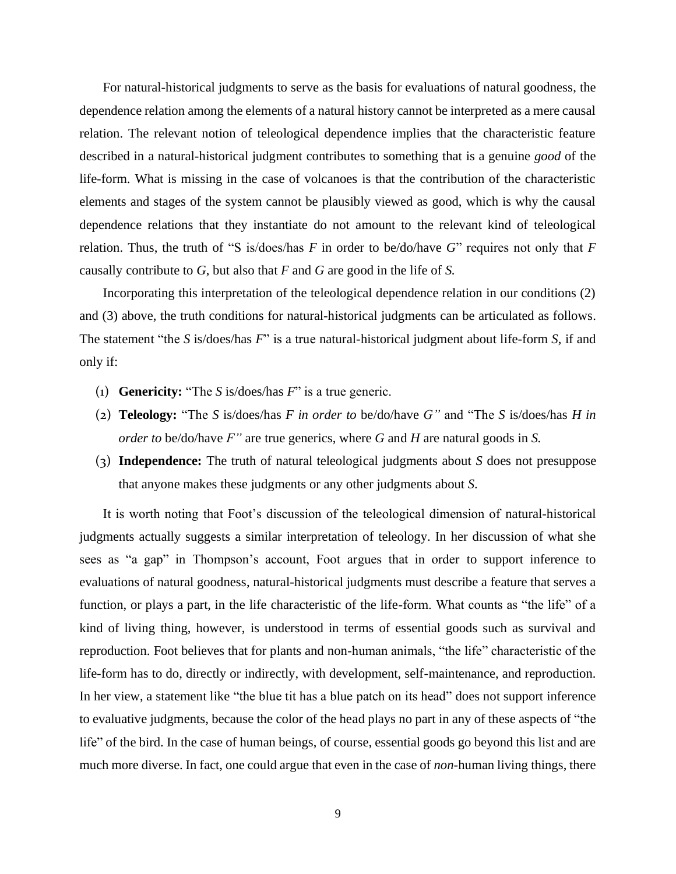For natural-historical judgments to serve as the basis for evaluations of natural goodness, the dependence relation among the elements of a natural history cannot be interpreted as a mere causal relation. The relevant notion of teleological dependence implies that the characteristic feature described in a natural-historical judgment contributes to something that is a genuine *good* of the life-form. What is missing in the case of volcanoes is that the contribution of the characteristic elements and stages of the system cannot be plausibly viewed as good, which is why the causal dependence relations that they instantiate do not amount to the relevant kind of teleological relation. Thus, the truth of "S is/does/has *F* in order to be/do/have *G*" requires not only that *F*  causally contribute to *G*, but also that *F* and *G* are good in the life of *S.* 

Incorporating this interpretation of the teleological dependence relation in our conditions (2) and (3) above, the truth conditions for natural-historical judgments can be articulated as follows. The statement "the *S* is/does/has *F*" is a true natural-historical judgment about life-form *S*, if and only if:

- (1) **Genericity:** "The *S* is/does/has *F*" is a true generic.
- (2) **Teleology:** "The *S* is/does/has *F in order to* be/do/have *G"* and "The *S* is/does/has *H in order to* be/do/have *F"* are true generics, where *G* and *H* are natural goods in *S.*
- (3) **Independence:** The truth of natural teleological judgments about *S* does not presuppose that anyone makes these judgments or any other judgments about *S*.

It is worth noting that Foot's discussion of the teleological dimension of natural-historical judgments actually suggests a similar interpretation of teleology. In her discussion of what she sees as "a gap" in Thompson's account, Foot argues that in order to support inference to evaluations of natural goodness, natural-historical judgments must describe a feature that serves a function, or plays a part, in the life characteristic of the life-form. What counts as "the life" of a kind of living thing, however, is understood in terms of essential goods such as survival and reproduction. Foot believes that for plants and non-human animals, "the life" characteristic of the life-form has to do, directly or indirectly, with development, self-maintenance, and reproduction. In her view, a statement like "the blue tit has a blue patch on its head" does not support inference to evaluative judgments, because the color of the head plays no part in any of these aspects of "the life" of the bird. In the case of human beings, of course, essential goods go beyond this list and are much more diverse. In fact, one could argue that even in the case of *non*-human living things, there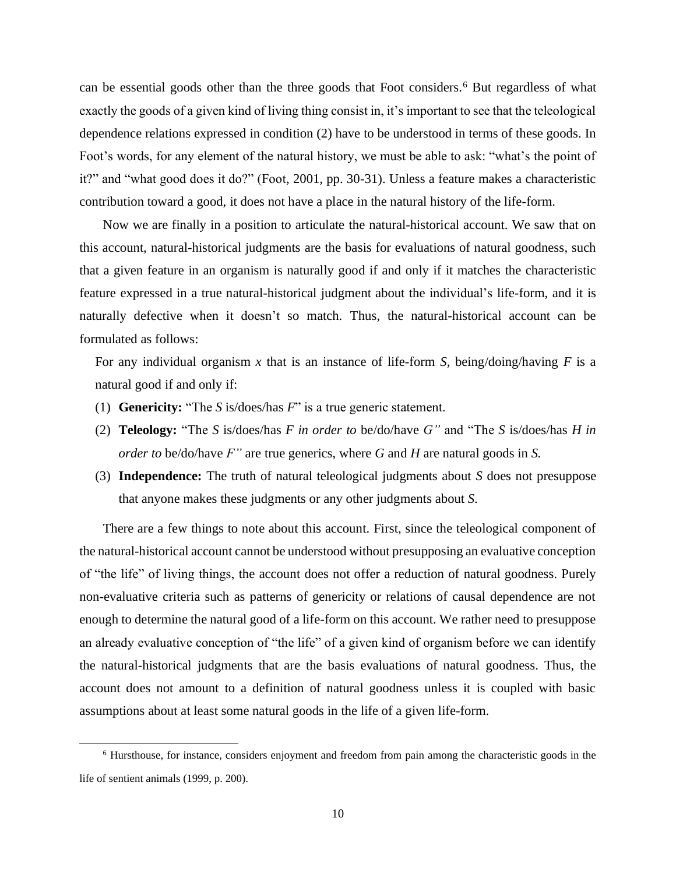can be essential goods other than the three goods that Foot considers.<sup>6</sup> But regardless of what exactly the goods of a given kind of living thing consist in, it's important to see that the teleological dependence relations expressed in condition (2) have to be understood in terms of these goods. In Foot's words, for any element of the natural history, we must be able to ask: "what's the point of it?" and "what good does it do?" (Foot, 2001, pp. 30-31). Unless a feature makes a characteristic contribution toward a good, it does not have a place in the natural history of the life-form.

Now we are finally in a position to articulate the natural-historical account. We saw that on this account, natural-historical judgments are the basis for evaluations of natural goodness, such that a given feature in an organism is naturally good if and only if it matches the characteristic feature expressed in a true natural-historical judgment about the individual's life-form, and it is naturally defective when it doesn't so match. Thus, the natural-historical account can be formulated as follows:

For any individual organism x that is an instance of life-form *S*, being/doing/having F is a natural good if and only if:

- (1) **Genericity:** "The *S* is/does/has *F*" is a true generic statement.
- (2) **Teleology:** "The *S* is/does/has *F in order to* be/do/have *G"* and "The *S* is/does/has *H in order to* be/do/have *F"* are true generics, where *G* and *H* are natural goods in *S.*
- (3) **Independence:** The truth of natural teleological judgments about *S* does not presuppose that anyone makes these judgments or any other judgments about *S*.

There are a few things to note about this account. First, since the teleological component of the natural-historical account cannot be understood without presupposing an evaluative conception of "the life" of living things, the account does not offer a reduction of natural goodness. Purely non-evaluative criteria such as patterns of genericity or relations of causal dependence are not enough to determine the natural good of a life-form on this account. We rather need to presuppose an already evaluative conception of "the life" of a given kind of organism before we can identify the natural-historical judgments that are the basis evaluations of natural goodness. Thus, the account does not amount to a definition of natural goodness unless it is coupled with basic assumptions about at least some natural goods in the life of a given life-form.

<sup>6</sup> Hursthouse, for instance, considers enjoyment and freedom from pain among the characteristic goods in the life of sentient animals (1999, p. 200).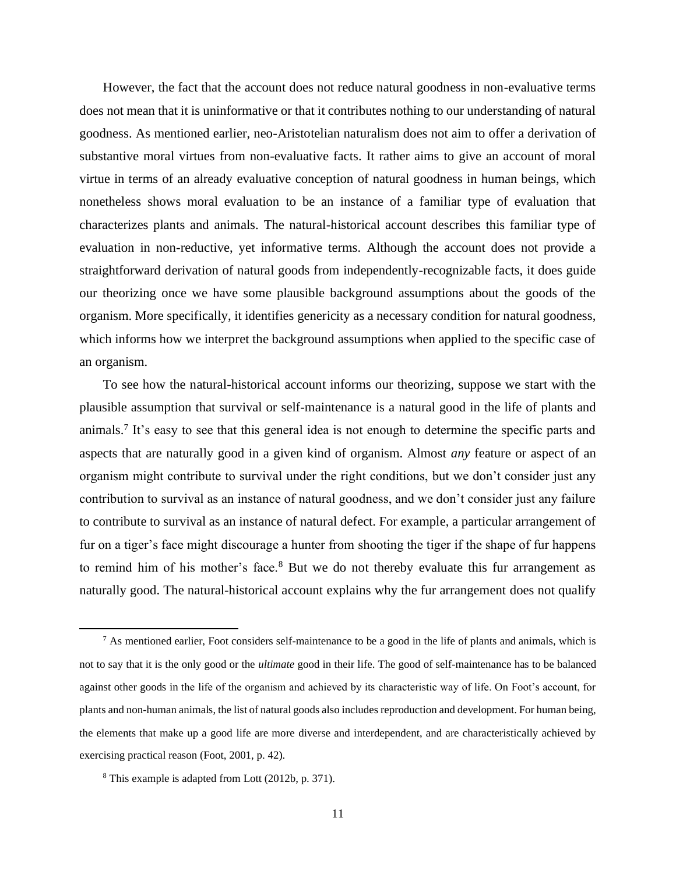However, the fact that the account does not reduce natural goodness in non-evaluative terms does not mean that it is uninformative or that it contributes nothing to our understanding of natural goodness. As mentioned earlier, neo-Aristotelian naturalism does not aim to offer a derivation of substantive moral virtues from non-evaluative facts. It rather aims to give an account of moral virtue in terms of an already evaluative conception of natural goodness in human beings, which nonetheless shows moral evaluation to be an instance of a familiar type of evaluation that characterizes plants and animals. The natural-historical account describes this familiar type of evaluation in non-reductive, yet informative terms. Although the account does not provide a straightforward derivation of natural goods from independently-recognizable facts, it does guide our theorizing once we have some plausible background assumptions about the goods of the organism. More specifically, it identifies genericity as a necessary condition for natural goodness, which informs how we interpret the background assumptions when applied to the specific case of an organism.

To see how the natural-historical account informs our theorizing, suppose we start with the plausible assumption that survival or self-maintenance is a natural good in the life of plants and animals.<sup>7</sup> It's easy to see that this general idea is not enough to determine the specific parts and aspects that are naturally good in a given kind of organism. Almost *any* feature or aspect of an organism might contribute to survival under the right conditions, but we don't consider just any contribution to survival as an instance of natural goodness, and we don't consider just any failure to contribute to survival as an instance of natural defect. For example, a particular arrangement of fur on a tiger's face might discourage a hunter from shooting the tiger if the shape of fur happens to remind him of his mother's face.<sup>8</sup> But we do not thereby evaluate this fur arrangement as naturally good. The natural-historical account explains why the fur arrangement does not qualify

 $7$  As mentioned earlier, Foot considers self-maintenance to be a good in the life of plants and animals, which is not to say that it is the only good or the *ultimate* good in their life. The good of self-maintenance has to be balanced against other goods in the life of the organism and achieved by its characteristic way of life. On Foot's account, for plants and non-human animals, the list of natural goods also includes reproduction and development. For human being, the elements that make up a good life are more diverse and interdependent, and are characteristically achieved by exercising practical reason (Foot, 2001, p. 42).

<sup>8</sup> This example is adapted from Lott (2012b, p. 371).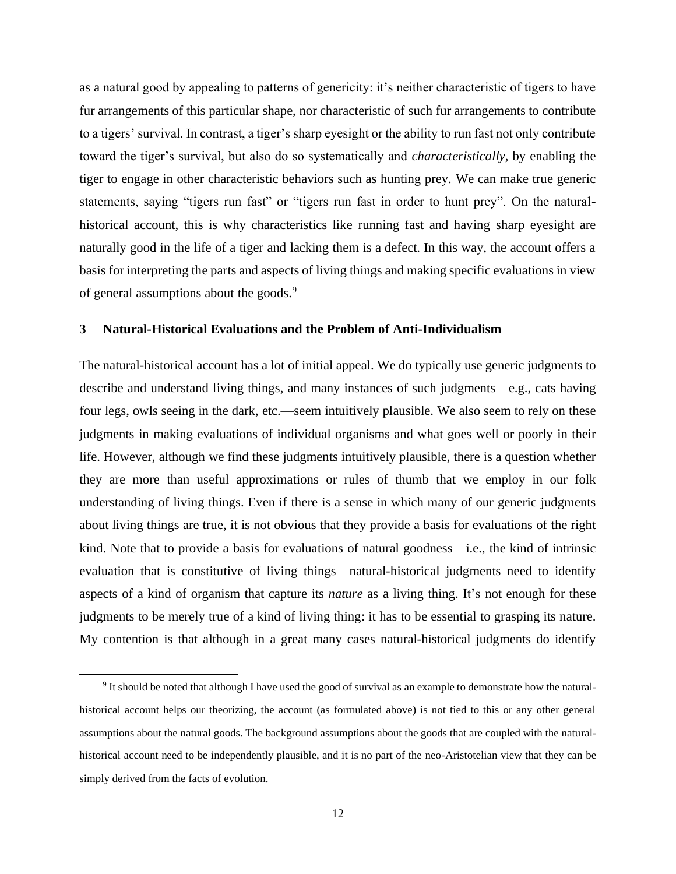as a natural good by appealing to patterns of genericity: it's neither characteristic of tigers to have fur arrangements of this particular shape, nor characteristic of such fur arrangements to contribute to a tigers' survival. In contrast, a tiger's sharp eyesight or the ability to run fast not only contribute toward the tiger's survival, but also do so systematically and *characteristically*, by enabling the tiger to engage in other characteristic behaviors such as hunting prey. We can make true generic statements, saying "tigers run fast" or "tigers run fast in order to hunt prey". On the naturalhistorical account, this is why characteristics like running fast and having sharp eyesight are naturally good in the life of a tiger and lacking them is a defect. In this way, the account offers a basis for interpreting the parts and aspects of living things and making specific evaluations in view of general assumptions about the goods.<sup>9</sup>

#### **3 Natural-Historical Evaluations and the Problem of Anti-Individualism**

The natural-historical account has a lot of initial appeal. We do typically use generic judgments to describe and understand living things, and many instances of such judgments—e.g., cats having four legs, owls seeing in the dark, etc.—seem intuitively plausible. We also seem to rely on these judgments in making evaluations of individual organisms and what goes well or poorly in their life. However, although we find these judgments intuitively plausible, there is a question whether they are more than useful approximations or rules of thumb that we employ in our folk understanding of living things. Even if there is a sense in which many of our generic judgments about living things are true, it is not obvious that they provide a basis for evaluations of the right kind. Note that to provide a basis for evaluations of natural goodness—i.e., the kind of intrinsic evaluation that is constitutive of living things—natural-historical judgments need to identify aspects of a kind of organism that capture its *nature* as a living thing. It's not enough for these judgments to be merely true of a kind of living thing: it has to be essential to grasping its nature. My contention is that although in a great many cases natural-historical judgments do identify

<sup>&</sup>lt;sup>9</sup> It should be noted that although I have used the good of survival as an example to demonstrate how the naturalhistorical account helps our theorizing, the account (as formulated above) is not tied to this or any other general assumptions about the natural goods. The background assumptions about the goods that are coupled with the naturalhistorical account need to be independently plausible, and it is no part of the neo-Aristotelian view that they can be simply derived from the facts of evolution.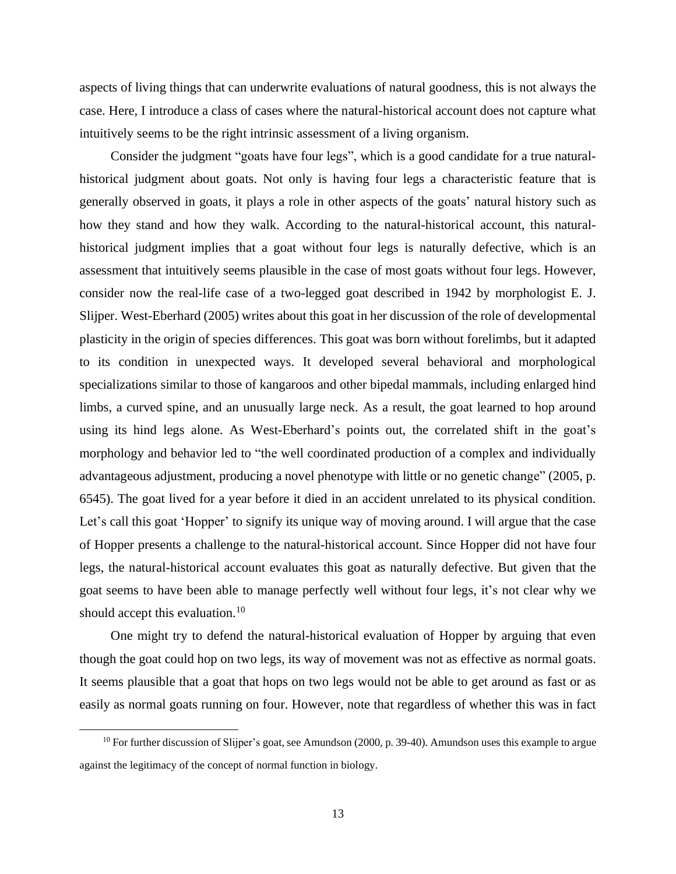aspects of living things that can underwrite evaluations of natural goodness, this is not always the case. Here, I introduce a class of cases where the natural-historical account does not capture what intuitively seems to be the right intrinsic assessment of a living organism.

Consider the judgment "goats have four legs", which is a good candidate for a true naturalhistorical judgment about goats. Not only is having four legs a characteristic feature that is generally observed in goats, it plays a role in other aspects of the goats' natural history such as how they stand and how they walk. According to the natural-historical account, this naturalhistorical judgment implies that a goat without four legs is naturally defective, which is an assessment that intuitively seems plausible in the case of most goats without four legs. However, consider now the real-life case of a two-legged goat described in 1942 by morphologist E. J. Slijper. West-Eberhard (2005) writes about this goat in her discussion of the role of developmental plasticity in the origin of species differences. This goat was born without forelimbs, but it adapted to its condition in unexpected ways. It developed several behavioral and morphological specializations similar to those of kangaroos and other bipedal mammals, including enlarged hind limbs, a curved spine, and an unusually large neck. As a result, the goat learned to hop around using its hind legs alone. As West-Eberhard's points out, the correlated shift in the goat's morphology and behavior led to "the well coordinated production of a complex and individually advantageous adjustment, producing a novel phenotype with little or no genetic change" (2005, p. 6545). The goat lived for a year before it died in an accident unrelated to its physical condition. Let's call this goat 'Hopper' to signify its unique way of moving around. I will argue that the case of Hopper presents a challenge to the natural-historical account. Since Hopper did not have four legs, the natural-historical account evaluates this goat as naturally defective. But given that the goat seems to have been able to manage perfectly well without four legs, it's not clear why we should accept this evaluation.<sup>10</sup>

One might try to defend the natural-historical evaluation of Hopper by arguing that even though the goat could hop on two legs, its way of movement was not as effective as normal goats. It seems plausible that a goat that hops on two legs would not be able to get around as fast or as easily as normal goats running on four. However, note that regardless of whether this was in fact

<sup>&</sup>lt;sup>10</sup> For further discussion of Slijper's goat, see Amundson (2000, p. 39-40). Amundson uses this example to argue against the legitimacy of the concept of normal function in biology.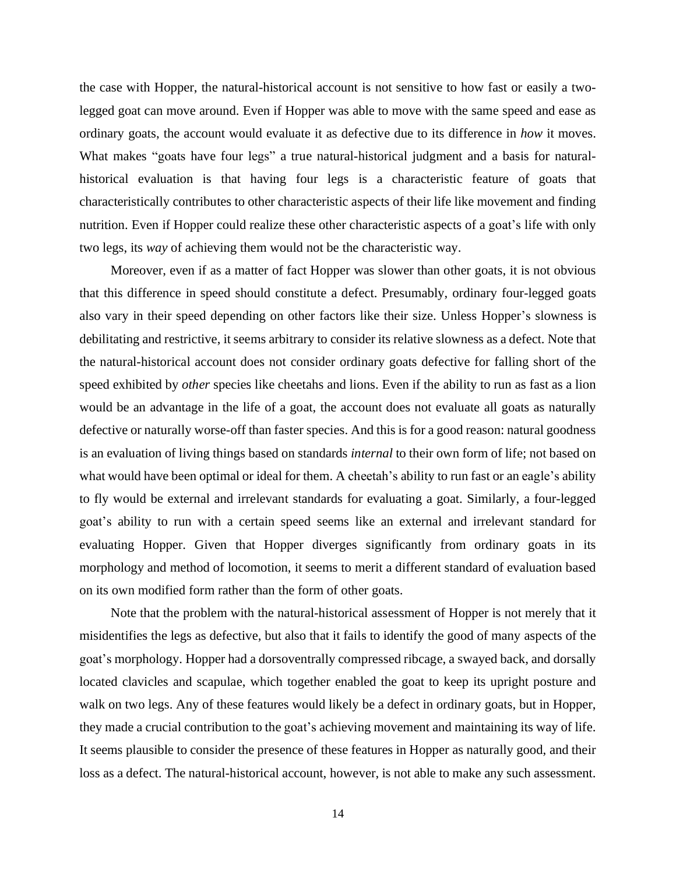the case with Hopper, the natural-historical account is not sensitive to how fast or easily a twolegged goat can move around. Even if Hopper was able to move with the same speed and ease as ordinary goats, the account would evaluate it as defective due to its difference in *how* it moves. What makes "goats have four legs" a true natural-historical judgment and a basis for naturalhistorical evaluation is that having four legs is a characteristic feature of goats that characteristically contributes to other characteristic aspects of their life like movement and finding nutrition. Even if Hopper could realize these other characteristic aspects of a goat's life with only two legs, its *way* of achieving them would not be the characteristic way.

Moreover, even if as a matter of fact Hopper was slower than other goats, it is not obvious that this difference in speed should constitute a defect. Presumably, ordinary four-legged goats also vary in their speed depending on other factors like their size. Unless Hopper's slowness is debilitating and restrictive, it seems arbitrary to consider its relative slowness as a defect. Note that the natural-historical account does not consider ordinary goats defective for falling short of the speed exhibited by *other* species like cheetahs and lions. Even if the ability to run as fast as a lion would be an advantage in the life of a goat, the account does not evaluate all goats as naturally defective or naturally worse-off than faster species. And this is for a good reason: natural goodness is an evaluation of living things based on standards *internal* to their own form of life; not based on what would have been optimal or ideal for them. A cheetah's ability to run fast or an eagle's ability to fly would be external and irrelevant standards for evaluating a goat. Similarly, a four-legged goat's ability to run with a certain speed seems like an external and irrelevant standard for evaluating Hopper. Given that Hopper diverges significantly from ordinary goats in its morphology and method of locomotion, it seems to merit a different standard of evaluation based on its own modified form rather than the form of other goats.

Note that the problem with the natural-historical assessment of Hopper is not merely that it misidentifies the legs as defective, but also that it fails to identify the good of many aspects of the goat's morphology. Hopper had a dorsoventrally compressed ribcage, a swayed back, and dorsally located clavicles and scapulae, which together enabled the goat to keep its upright posture and walk on two legs. Any of these features would likely be a defect in ordinary goats, but in Hopper, they made a crucial contribution to the goat's achieving movement and maintaining its way of life. It seems plausible to consider the presence of these features in Hopper as naturally good, and their loss as a defect. The natural-historical account, however, is not able to make any such assessment.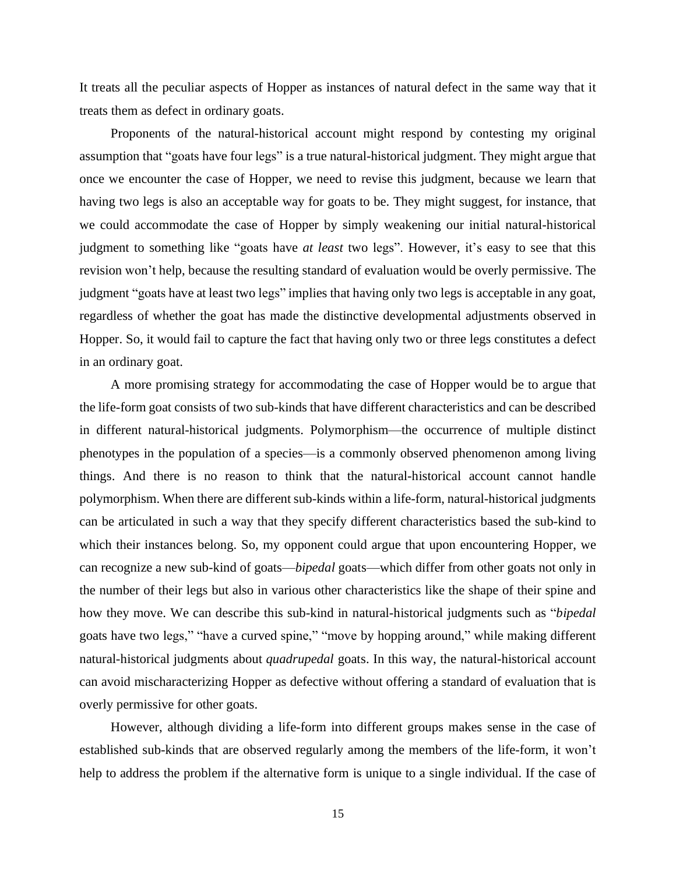It treats all the peculiar aspects of Hopper as instances of natural defect in the same way that it treats them as defect in ordinary goats.

Proponents of the natural-historical account might respond by contesting my original assumption that "goats have four legs" is a true natural-historical judgment. They might argue that once we encounter the case of Hopper, we need to revise this judgment, because we learn that having two legs is also an acceptable way for goats to be. They might suggest, for instance, that we could accommodate the case of Hopper by simply weakening our initial natural-historical judgment to something like "goats have *at least* two legs". However, it's easy to see that this revision won't help, because the resulting standard of evaluation would be overly permissive. The judgment "goats have at least two legs" implies that having only two legs is acceptable in any goat, regardless of whether the goat has made the distinctive developmental adjustments observed in Hopper. So, it would fail to capture the fact that having only two or three legs constitutes a defect in an ordinary goat.

A more promising strategy for accommodating the case of Hopper would be to argue that the life-form goat consists of two sub-kinds that have different characteristics and can be described in different natural-historical judgments. Polymorphism—the occurrence of multiple distinct phenotypes in the population of a species—is a commonly observed phenomenon among living things. And there is no reason to think that the natural-historical account cannot handle polymorphism. When there are different sub-kinds within a life-form, natural-historical judgments can be articulated in such a way that they specify different characteristics based the sub-kind to which their instances belong. So, my opponent could argue that upon encountering Hopper, we can recognize a new sub-kind of goats—*bipedal* goats—which differ from other goats not only in the number of their legs but also in various other characteristics like the shape of their spine and how they move. We can describe this sub-kind in natural-historical judgments such as "*bipedal* goats have two legs," "have a curved spine," "move by hopping around," while making different natural-historical judgments about *quadrupedal* goats. In this way, the natural-historical account can avoid mischaracterizing Hopper as defective without offering a standard of evaluation that is overly permissive for other goats.

However, although dividing a life-form into different groups makes sense in the case of established sub-kinds that are observed regularly among the members of the life-form, it won't help to address the problem if the alternative form is unique to a single individual. If the case of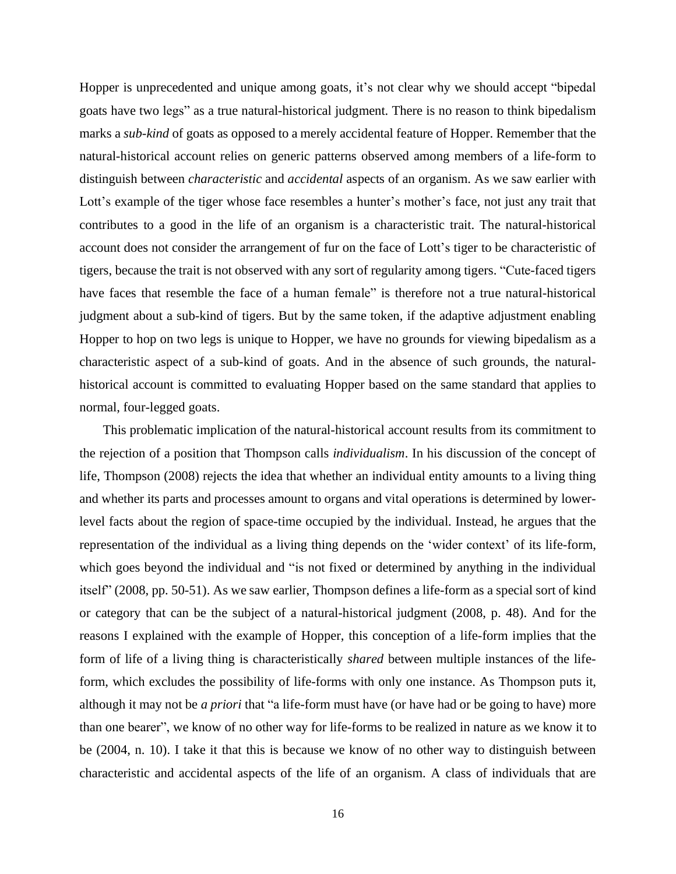Hopper is unprecedented and unique among goats, it's not clear why we should accept "bipedal goats have two legs" as a true natural-historical judgment. There is no reason to think bipedalism marks a *sub-kind* of goats as opposed to a merely accidental feature of Hopper. Remember that the natural-historical account relies on generic patterns observed among members of a life-form to distinguish between *characteristic* and *accidental* aspects of an organism. As we saw earlier with Lott's example of the tiger whose face resembles a hunter's mother's face, not just any trait that contributes to a good in the life of an organism is a characteristic trait. The natural-historical account does not consider the arrangement of fur on the face of Lott's tiger to be characteristic of tigers, because the trait is not observed with any sort of regularity among tigers. "Cute-faced tigers have faces that resemble the face of a human female" is therefore not a true natural-historical judgment about a sub-kind of tigers. But by the same token, if the adaptive adjustment enabling Hopper to hop on two legs is unique to Hopper, we have no grounds for viewing bipedalism as a characteristic aspect of a sub-kind of goats. And in the absence of such grounds, the naturalhistorical account is committed to evaluating Hopper based on the same standard that applies to normal, four-legged goats.

This problematic implication of the natural-historical account results from its commitment to the rejection of a position that Thompson calls *individualism*. In his discussion of the concept of life, Thompson (2008) rejects the idea that whether an individual entity amounts to a living thing and whether its parts and processes amount to organs and vital operations is determined by lowerlevel facts about the region of space-time occupied by the individual. Instead, he argues that the representation of the individual as a living thing depends on the 'wider context' of its life-form, which goes beyond the individual and "is not fixed or determined by anything in the individual itself" (2008, pp. 50-51). As we saw earlier, Thompson defines a life-form as a special sort of kind or category that can be the subject of a natural-historical judgment (2008, p. 48). And for the reasons I explained with the example of Hopper, this conception of a life-form implies that the form of life of a living thing is characteristically *shared* between multiple instances of the lifeform, which excludes the possibility of life-forms with only one instance. As Thompson puts it, although it may not be *a priori* that "a life-form must have (or have had or be going to have) more than one bearer", we know of no other way for life-forms to be realized in nature as we know it to be (2004, n. 10). I take it that this is because we know of no other way to distinguish between characteristic and accidental aspects of the life of an organism. A class of individuals that are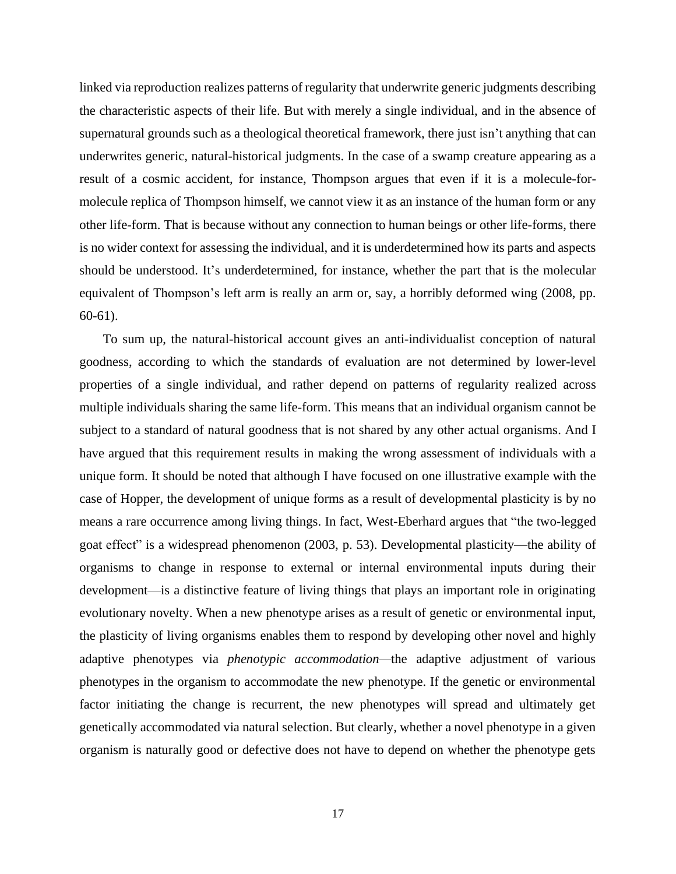linked via reproduction realizes patterns of regularity that underwrite generic judgments describing the characteristic aspects of their life. But with merely a single individual, and in the absence of supernatural grounds such as a theological theoretical framework, there just isn't anything that can underwrites generic, natural-historical judgments. In the case of a swamp creature appearing as a result of a cosmic accident, for instance, Thompson argues that even if it is a molecule-formolecule replica of Thompson himself, we cannot view it as an instance of the human form or any other life-form. That is because without any connection to human beings or other life-forms, there is no wider context for assessing the individual, and it is underdetermined how its parts and aspects should be understood. It's underdetermined, for instance, whether the part that is the molecular equivalent of Thompson's left arm is really an arm or, say, a horribly deformed wing (2008, pp. 60-61).

To sum up, the natural-historical account gives an anti-individualist conception of natural goodness, according to which the standards of evaluation are not determined by lower-level properties of a single individual, and rather depend on patterns of regularity realized across multiple individuals sharing the same life-form. This means that an individual organism cannot be subject to a standard of natural goodness that is not shared by any other actual organisms. And I have argued that this requirement results in making the wrong assessment of individuals with a unique form. It should be noted that although I have focused on one illustrative example with the case of Hopper, the development of unique forms as a result of developmental plasticity is by no means a rare occurrence among living things. In fact, West-Eberhard argues that "the two-legged goat effect" is a widespread phenomenon (2003, p. 53). Developmental plasticity—the ability of organisms to change in response to external or internal environmental inputs during their development—is a distinctive feature of living things that plays an important role in originating evolutionary novelty. When a new phenotype arises as a result of genetic or environmental input, the plasticity of living organisms enables them to respond by developing other novel and highly adaptive phenotypes via *phenotypic accommodation—*the adaptive adjustment of various phenotypes in the organism to accommodate the new phenotype. If the genetic or environmental factor initiating the change is recurrent, the new phenotypes will spread and ultimately get genetically accommodated via natural selection. But clearly, whether a novel phenotype in a given organism is naturally good or defective does not have to depend on whether the phenotype gets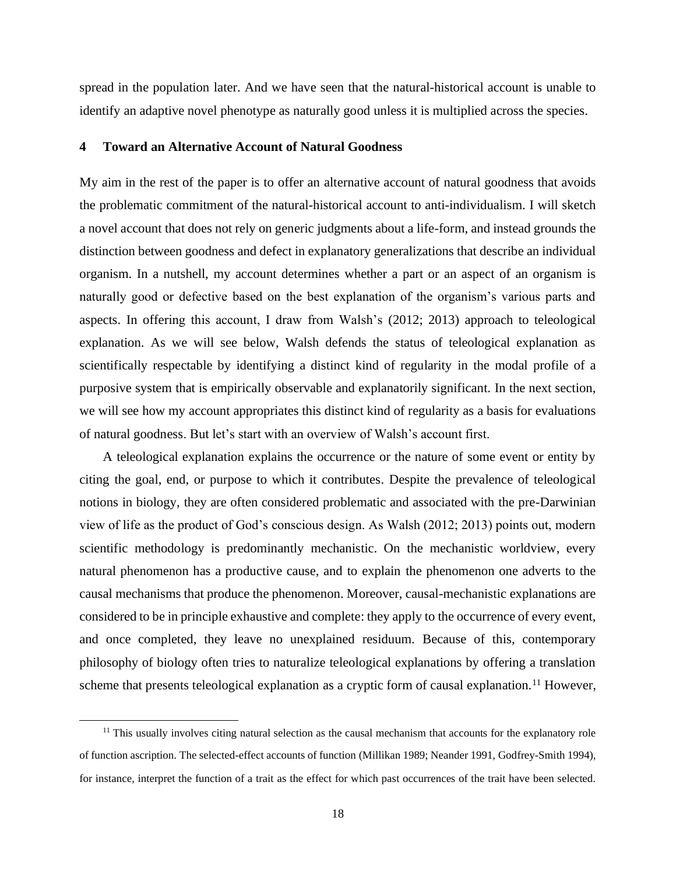spread in the population later. And we have seen that the natural-historical account is unable to identify an adaptive novel phenotype as naturally good unless it is multiplied across the species.

### **4 Toward an Alternative Account of Natural Goodness**

My aim in the rest of the paper is to offer an alternative account of natural goodness that avoids the problematic commitment of the natural-historical account to anti-individualism. I will sketch a novel account that does not rely on generic judgments about a life-form, and instead grounds the distinction between goodness and defect in explanatory generalizations that describe an individual organism. In a nutshell, my account determines whether a part or an aspect of an organism is naturally good or defective based on the best explanation of the organism's various parts and aspects. In offering this account, I draw from Walsh's (2012; 2013) approach to teleological explanation. As we will see below, Walsh defends the status of teleological explanation as scientifically respectable by identifying a distinct kind of regularity in the modal profile of a purposive system that is empirically observable and explanatorily significant. In the next section, we will see how my account appropriates this distinct kind of regularity as a basis for evaluations of natural goodness. But let's start with an overview of Walsh's account first.

A teleological explanation explains the occurrence or the nature of some event or entity by citing the goal, end, or purpose to which it contributes. Despite the prevalence of teleological notions in biology, they are often considered problematic and associated with the pre-Darwinian view of life as the product of God's conscious design. As Walsh (2012; 2013) points out, modern scientific methodology is predominantly mechanistic. On the mechanistic worldview, every natural phenomenon has a productive cause, and to explain the phenomenon one adverts to the causal mechanisms that produce the phenomenon. Moreover, causal-mechanistic explanations are considered to be in principle exhaustive and complete: they apply to the occurrence of every event, and once completed, they leave no unexplained residuum. Because of this, contemporary philosophy of biology often tries to naturalize teleological explanations by offering a translation scheme that presents teleological explanation as a cryptic form of causal explanation.<sup>11</sup> However,

 $11$  This usually involves citing natural selection as the causal mechanism that accounts for the explanatory role of function ascription. The selected-effect accounts of function (Millikan 1989; Neander 1991, Godfrey-Smith 1994), for instance, interpret the function of a trait as the effect for which past occurrences of the trait have been selected.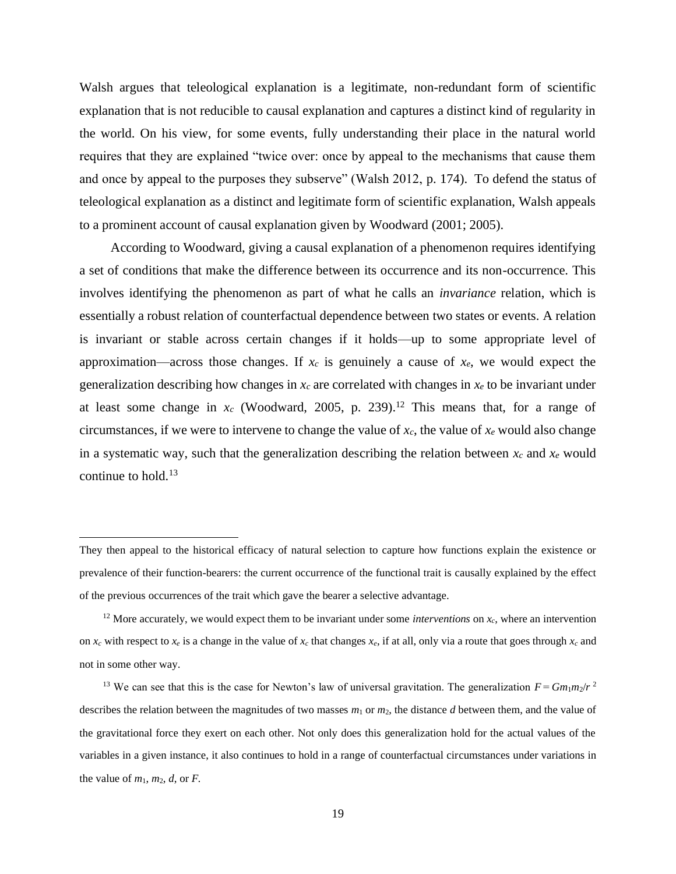Walsh argues that teleological explanation is a legitimate, non-redundant form of scientific explanation that is not reducible to causal explanation and captures a distinct kind of regularity in the world. On his view, for some events, fully understanding their place in the natural world requires that they are explained "twice over: once by appeal to the mechanisms that cause them and once by appeal to the purposes they subserve" (Walsh 2012, p. 174). To defend the status of teleological explanation as a distinct and legitimate form of scientific explanation, Walsh appeals to a prominent account of causal explanation given by Woodward (2001; 2005).

According to Woodward, giving a causal explanation of a phenomenon requires identifying a set of conditions that make the difference between its occurrence and its non-occurrence. This involves identifying the phenomenon as part of what he calls an *invariance* relation, which is essentially a robust relation of counterfactual dependence between two states or events. A relation is invariant or stable across certain changes if it holds—up to some appropriate level of approximation—across those changes. If *x<sup>c</sup>* is genuinely a cause of *xe*, we would expect the generalization describing how changes in  $x_c$  are correlated with changes in  $x_e$  to be invariant under at least some change in *x<sup>c</sup>* (Woodward, 2005, p. 239). <sup>12</sup> This means that, for a range of circumstances, if we were to intervene to change the value of  $x_c$ , the value of  $x_e$  would also change in a systematic way, such that the generalization describing the relation between  $x_c$  and  $x_e$  would continue to hold.<sup>13</sup>

They then appeal to the historical efficacy of natural selection to capture how functions explain the existence or prevalence of their function-bearers: the current occurrence of the functional trait is causally explained by the effect of the previous occurrences of the trait which gave the bearer a selective advantage.

<sup>&</sup>lt;sup>12</sup> More accurately, we would expect them to be invariant under some *interventions* on  $x_c$ , where an intervention on  $x_c$  with respect to  $x_e$  is a change in the value of  $x_c$  that changes  $x_e$ , if at all, only via a route that goes through  $x_c$  and not in some other way.

<sup>&</sup>lt;sup>13</sup> We can see that this is the case for Newton's law of universal gravitation. The generalization  $F = Gm_1m_2/r^2$ describes the relation between the magnitudes of two masses *m*<sup>1</sup> or *m*2, the distance *d* between them, and the value of the gravitational force they exert on each other. Not only does this generalization hold for the actual values of the variables in a given instance, it also continues to hold in a range of counterfactual circumstances under variations in the value of  $m_1$ ,  $m_2$ ,  $d$ , or  $F$ .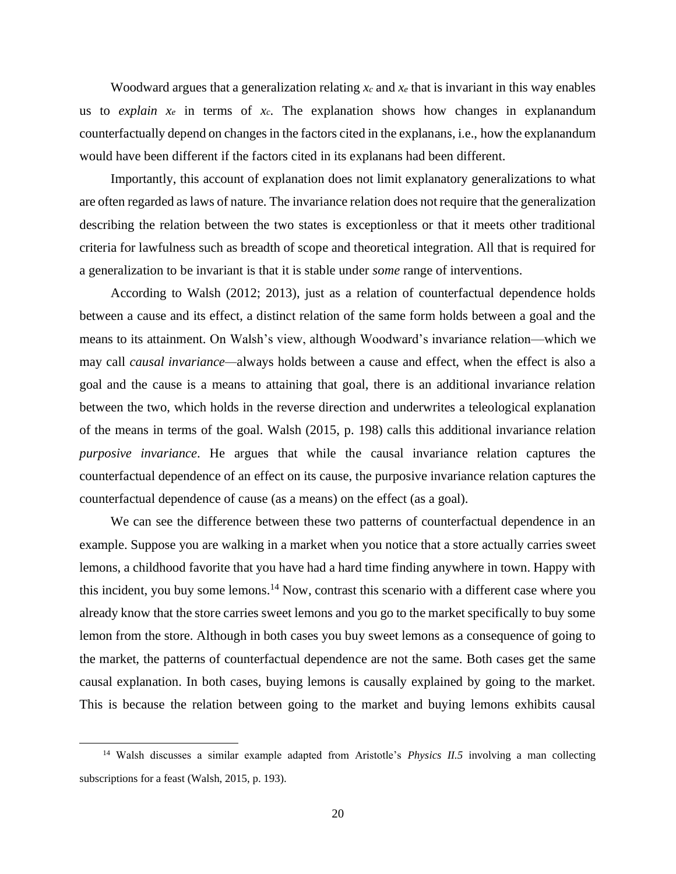Woodward argues that a generalization relating *x<sup>c</sup>* and *x<sup>e</sup>* that is invariant in this way enables us to *explain*  $x_e$  in terms of  $x_c$ . The explanation shows how changes in explanandum counterfactually depend on changes in the factors cited in the explanans, i.e., how the explanandum would have been different if the factors cited in its explanans had been different.

Importantly, this account of explanation does not limit explanatory generalizations to what are often regarded as laws of nature. The invariance relation does not require that the generalization describing the relation between the two states is exceptionless or that it meets other traditional criteria for lawfulness such as breadth of scope and theoretical integration. All that is required for a generalization to be invariant is that it is stable under *some* range of interventions.

According to Walsh (2012; 2013), just as a relation of counterfactual dependence holds between a cause and its effect, a distinct relation of the same form holds between a goal and the means to its attainment. On Walsh's view, although Woodward's invariance relation—which we may call *causal invariance—*always holds between a cause and effect, when the effect is also a goal and the cause is a means to attaining that goal, there is an additional invariance relation between the two, which holds in the reverse direction and underwrites a teleological explanation of the means in terms of the goal. Walsh (2015, p. 198) calls this additional invariance relation *purposive invariance*. He argues that while the causal invariance relation captures the counterfactual dependence of an effect on its cause, the purposive invariance relation captures the counterfactual dependence of cause (as a means) on the effect (as a goal).

We can see the difference between these two patterns of counterfactual dependence in an example. Suppose you are walking in a market when you notice that a store actually carries sweet lemons, a childhood favorite that you have had a hard time finding anywhere in town. Happy with this incident, you buy some lemons.<sup>14</sup> Now, contrast this scenario with a different case where you already know that the store carries sweet lemons and you go to the market specifically to buy some lemon from the store. Although in both cases you buy sweet lemons as a consequence of going to the market, the patterns of counterfactual dependence are not the same. Both cases get the same causal explanation. In both cases, buying lemons is causally explained by going to the market. This is because the relation between going to the market and buying lemons exhibits causal

<sup>14</sup> Walsh discusses a similar example adapted from Aristotle's *Physics II.5* involving a man collecting subscriptions for a feast (Walsh, 2015, p. 193).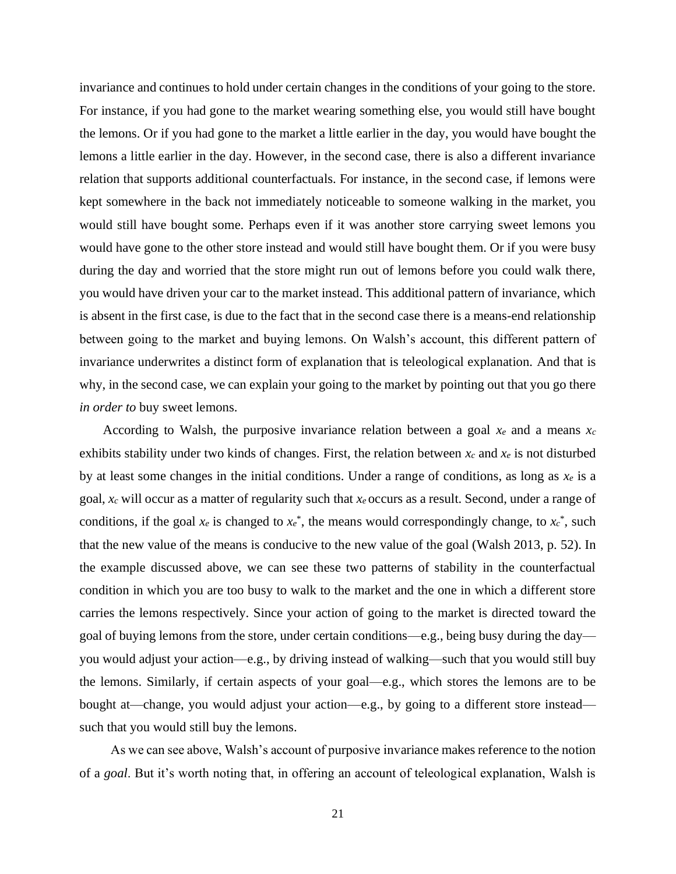invariance and continues to hold under certain changes in the conditions of your going to the store. For instance, if you had gone to the market wearing something else, you would still have bought the lemons. Or if you had gone to the market a little earlier in the day, you would have bought the lemons a little earlier in the day. However, in the second case, there is also a different invariance relation that supports additional counterfactuals. For instance, in the second case, if lemons were kept somewhere in the back not immediately noticeable to someone walking in the market, you would still have bought some. Perhaps even if it was another store carrying sweet lemons you would have gone to the other store instead and would still have bought them. Or if you were busy during the day and worried that the store might run out of lemons before you could walk there, you would have driven your car to the market instead. This additional pattern of invariance, which is absent in the first case, is due to the fact that in the second case there is a means-end relationship between going to the market and buying lemons. On Walsh's account, this different pattern of invariance underwrites a distinct form of explanation that is teleological explanation. And that is why, in the second case, we can explain your going to the market by pointing out that you go there *in order to* buy sweet lemons.

According to Walsh, the purposive invariance relation between a goal *x<sup>e</sup>* and a means *x<sup>c</sup>* exhibits stability under two kinds of changes. First, the relation between *x<sup>c</sup>* and *x<sup>e</sup>* is not disturbed by at least some changes in the initial conditions. Under a range of conditions, as long as *x<sup>e</sup>* is a goal, *x<sup>c</sup>* will occur as a matter of regularity such that *xe* occurs as a result. Second, under a range of conditions, if the goal  $x_e$  is changed to  $x_e^*$ , the means would correspondingly change, to  $x_c^*$ , such that the new value of the means is conducive to the new value of the goal (Walsh 2013, p. 52). In the example discussed above, we can see these two patterns of stability in the counterfactual condition in which you are too busy to walk to the market and the one in which a different store carries the lemons respectively. Since your action of going to the market is directed toward the goal of buying lemons from the store, under certain conditions—e.g., being busy during the day you would adjust your action—e.g., by driving instead of walking—such that you would still buy the lemons. Similarly, if certain aspects of your goal—e.g., which stores the lemons are to be bought at—change, you would adjust your action—e.g., by going to a different store instead such that you would still buy the lemons.

As we can see above, Walsh's account of purposive invariance makes reference to the notion of a *goal*. But it's worth noting that, in offering an account of teleological explanation, Walsh is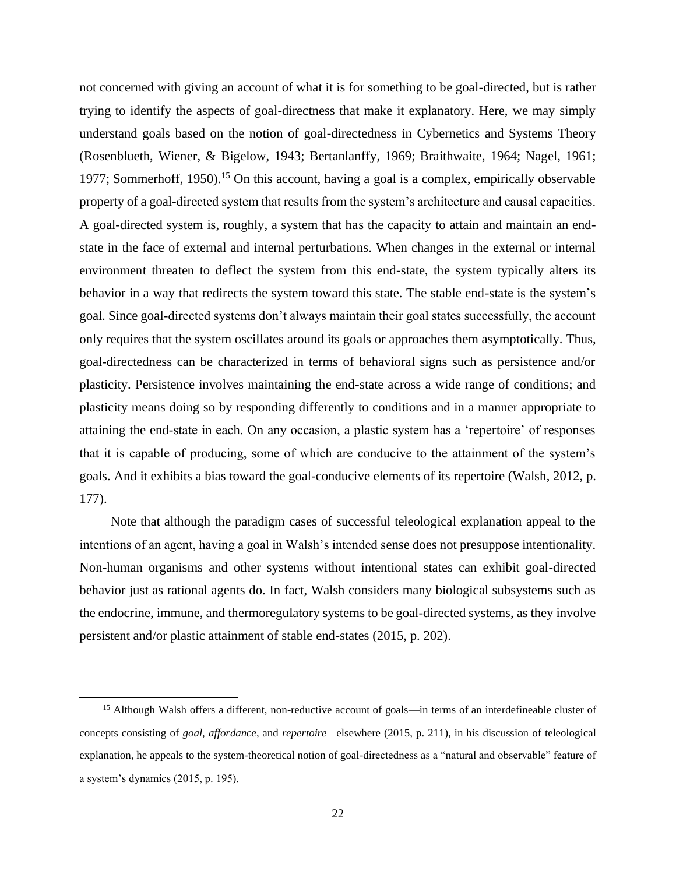not concerned with giving an account of what it is for something to be goal-directed, but is rather trying to identify the aspects of goal-directness that make it explanatory. Here, we may simply understand goals based on the notion of goal-directedness in Cybernetics and Systems Theory (Rosenblueth, Wiener, & Bigelow, 1943; Bertanlanffy, 1969; Braithwaite, 1964; Nagel, 1961; 1977; Sommerhoff, 1950).<sup>15</sup> On this account, having a goal is a complex, empirically observable property of a goal-directed system that results from the system's architecture and causal capacities. A goal-directed system is, roughly, a system that has the capacity to attain and maintain an endstate in the face of external and internal perturbations. When changes in the external or internal environment threaten to deflect the system from this end-state, the system typically alters its behavior in a way that redirects the system toward this state. The stable end-state is the system's goal. Since goal-directed systems don't always maintain their goal states successfully, the account only requires that the system oscillates around its goals or approaches them asymptotically. Thus, goal-directedness can be characterized in terms of behavioral signs such as persistence and/or plasticity. Persistence involves maintaining the end-state across a wide range of conditions; and plasticity means doing so by responding differently to conditions and in a manner appropriate to attaining the end-state in each. On any occasion, a plastic system has a 'repertoire' of responses that it is capable of producing, some of which are conducive to the attainment of the system's goals. And it exhibits a bias toward the goal-conducive elements of its repertoire (Walsh, 2012, p. 177).

Note that although the paradigm cases of successful teleological explanation appeal to the intentions of an agent, having a goal in Walsh's intended sense does not presuppose intentionality. Non-human organisms and other systems without intentional states can exhibit goal-directed behavior just as rational agents do. In fact, Walsh considers many biological subsystems such as the endocrine, immune, and thermoregulatory systems to be goal-directed systems, as they involve persistent and/or plastic attainment of stable end-states (2015, p. 202).

<sup>&</sup>lt;sup>15</sup> Although Walsh offers a different, non-reductive account of goals—in terms of an interdefineable cluster of concepts consisting of *goal*, *affordance*, and *repertoire—*elsewhere (2015, p. 211), in his discussion of teleological explanation, he appeals to the system-theoretical notion of goal-directedness as a "natural and observable" feature of a system's dynamics (2015, p. 195).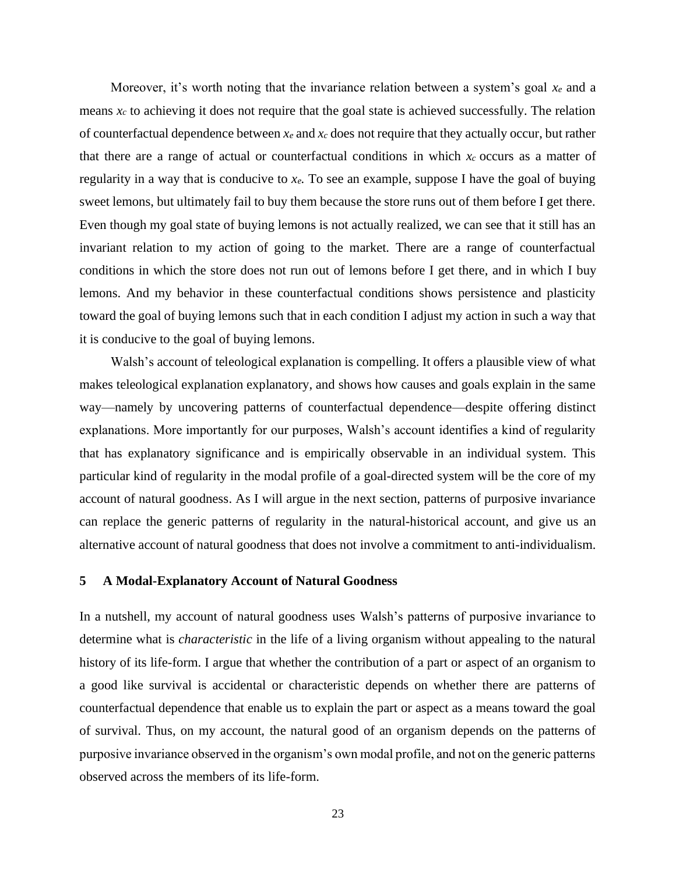Moreover, it's worth noting that the invariance relation between a system's goal *x<sup>e</sup>* and a means  $x_c$  to achieving it does not require that the goal state is achieved successfully. The relation of counterfactual dependence between *x<sup>e</sup>* and *x<sup>c</sup>* does not require that they actually occur, but rather that there are a range of actual or counterfactual conditions in which *xc* occurs as a matter of regularity in a way that is conducive to *xe.* To see an example, suppose I have the goal of buying sweet lemons, but ultimately fail to buy them because the store runs out of them before I get there. Even though my goal state of buying lemons is not actually realized, we can see that it still has an invariant relation to my action of going to the market. There are a range of counterfactual conditions in which the store does not run out of lemons before I get there, and in which I buy lemons. And my behavior in these counterfactual conditions shows persistence and plasticity toward the goal of buying lemons such that in each condition I adjust my action in such a way that it is conducive to the goal of buying lemons.

Walsh's account of teleological explanation is compelling. It offers a plausible view of what makes teleological explanation explanatory, and shows how causes and goals explain in the same way—namely by uncovering patterns of counterfactual dependence—despite offering distinct explanations. More importantly for our purposes, Walsh's account identifies a kind of regularity that has explanatory significance and is empirically observable in an individual system. This particular kind of regularity in the modal profile of a goal-directed system will be the core of my account of natural goodness. As I will argue in the next section, patterns of purposive invariance can replace the generic patterns of regularity in the natural-historical account, and give us an alternative account of natural goodness that does not involve a commitment to anti-individualism.

#### **5 A Modal-Explanatory Account of Natural Goodness**

In a nutshell, my account of natural goodness uses Walsh's patterns of purposive invariance to determine what is *characteristic* in the life of a living organism without appealing to the natural history of its life-form. I argue that whether the contribution of a part or aspect of an organism to a good like survival is accidental or characteristic depends on whether there are patterns of counterfactual dependence that enable us to explain the part or aspect as a means toward the goal of survival. Thus, on my account, the natural good of an organism depends on the patterns of purposive invariance observed in the organism's own modal profile, and not on the generic patterns observed across the members of its life-form.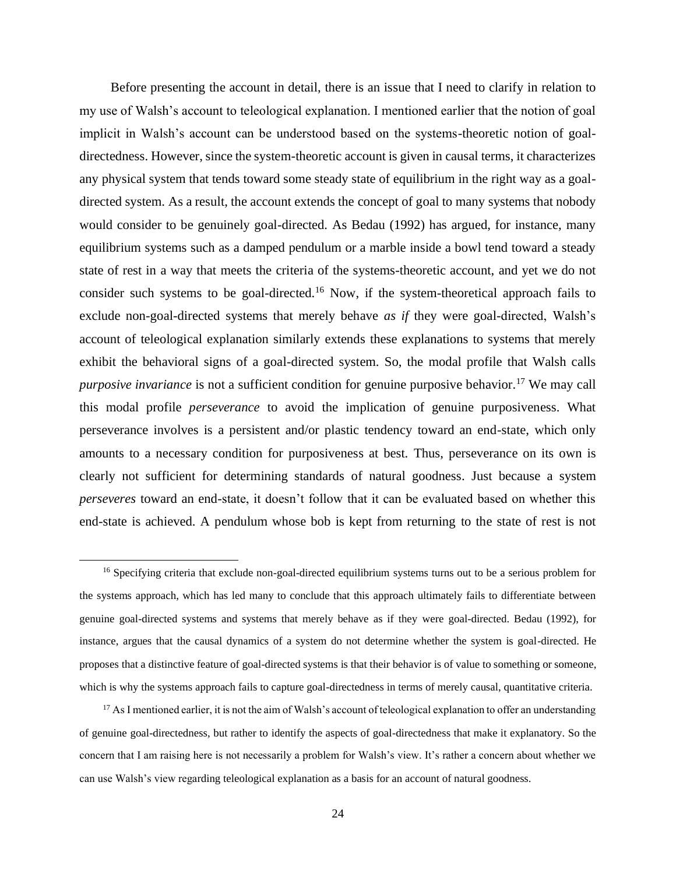Before presenting the account in detail, there is an issue that I need to clarify in relation to my use of Walsh's account to teleological explanation. I mentioned earlier that the notion of goal implicit in Walsh's account can be understood based on the systems-theoretic notion of goaldirectedness. However, since the system-theoretic account is given in causal terms, it characterizes any physical system that tends toward some steady state of equilibrium in the right way as a goaldirected system. As a result, the account extends the concept of goal to many systems that nobody would consider to be genuinely goal-directed. As Bedau (1992) has argued, for instance, many equilibrium systems such as a damped pendulum or a marble inside a bowl tend toward a steady state of rest in a way that meets the criteria of the systems-theoretic account, and yet we do not consider such systems to be goal-directed.<sup>16</sup> Now, if the system-theoretical approach fails to exclude non-goal-directed systems that merely behave *as if* they were goal-directed, Walsh's account of teleological explanation similarly extends these explanations to systems that merely exhibit the behavioral signs of a goal-directed system. So, the modal profile that Walsh calls *purposive invariance* is not a sufficient condition for genuine purposive behavior.<sup>17</sup> We may call this modal profile *perseverance* to avoid the implication of genuine purposiveness. What perseverance involves is a persistent and/or plastic tendency toward an end-state, which only amounts to a necessary condition for purposiveness at best. Thus, perseverance on its own is clearly not sufficient for determining standards of natural goodness. Just because a system *perseveres* toward an end-state, it doesn't follow that it can be evaluated based on whether this end-state is achieved. A pendulum whose bob is kept from returning to the state of rest is not

<sup>&</sup>lt;sup>16</sup> Specifying criteria that exclude non-goal-directed equilibrium systems turns out to be a serious problem for the systems approach, which has led many to conclude that this approach ultimately fails to differentiate between genuine goal-directed systems and systems that merely behave as if they were goal-directed. Bedau (1992), for instance, argues that the causal dynamics of a system do not determine whether the system is goal-directed. He proposes that a distinctive feature of goal-directed systems is that their behavior is of value to something or someone, which is why the systems approach fails to capture goal-directedness in terms of merely causal, quantitative criteria.

 $17$  As I mentioned earlier, it is not the aim of Walsh's account of teleological explanation to offer an understanding of genuine goal-directedness, but rather to identify the aspects of goal-directedness that make it explanatory. So the concern that I am raising here is not necessarily a problem for Walsh's view. It's rather a concern about whether we can use Walsh's view regarding teleological explanation as a basis for an account of natural goodness.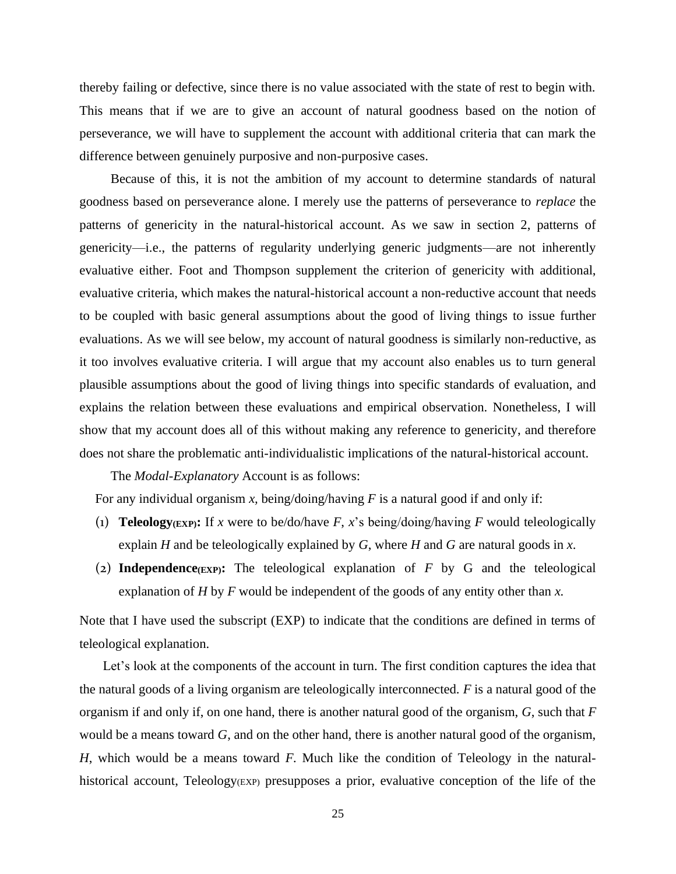thereby failing or defective, since there is no value associated with the state of rest to begin with. This means that if we are to give an account of natural goodness based on the notion of perseverance, we will have to supplement the account with additional criteria that can mark the difference between genuinely purposive and non-purposive cases.

Because of this, it is not the ambition of my account to determine standards of natural goodness based on perseverance alone. I merely use the patterns of perseverance to *replace* the patterns of genericity in the natural-historical account. As we saw in section 2, patterns of genericity—i.e., the patterns of regularity underlying generic judgments—are not inherently evaluative either. Foot and Thompson supplement the criterion of genericity with additional, evaluative criteria, which makes the natural-historical account a non-reductive account that needs to be coupled with basic general assumptions about the good of living things to issue further evaluations. As we will see below, my account of natural goodness is similarly non-reductive, as it too involves evaluative criteria. I will argue that my account also enables us to turn general plausible assumptions about the good of living things into specific standards of evaluation, and explains the relation between these evaluations and empirical observation. Nonetheless, I will show that my account does all of this without making any reference to genericity, and therefore does not share the problematic anti-individualistic implications of the natural-historical account.

The *Modal-Explanatory* Account is as follows:

For any individual organism *x,* being/doing/having *F* is a natural good if and only if:

- (1) **Teleology**(EXP): If *x* were to be/do/have *F*, *x*'s being/doing/having *F* would teleologically explain *H* and be teleologically explained by *G*, where *H* and *G* are natural goods in *x*.
- (2) **Independence(EXP):** The teleological explanation of *F* by G and the teleological explanation of *H* by *F* would be independent of the goods of any entity other than *x.*

Note that I have used the subscript (EXP) to indicate that the conditions are defined in terms of teleological explanation.

Let's look at the components of the account in turn. The first condition captures the idea that the natural goods of a living organism are teleologically interconnected. *F* is a natural good of the organism if and only if, on one hand, there is another natural good of the organism, *G*, such that *F* would be a means toward *G*, and on the other hand, there is another natural good of the organism, *H*, which would be a means toward *F.* Much like the condition of Teleology in the naturalhistorical account, Teleology( $EXP$ ) presupposes a prior, evaluative conception of the life of the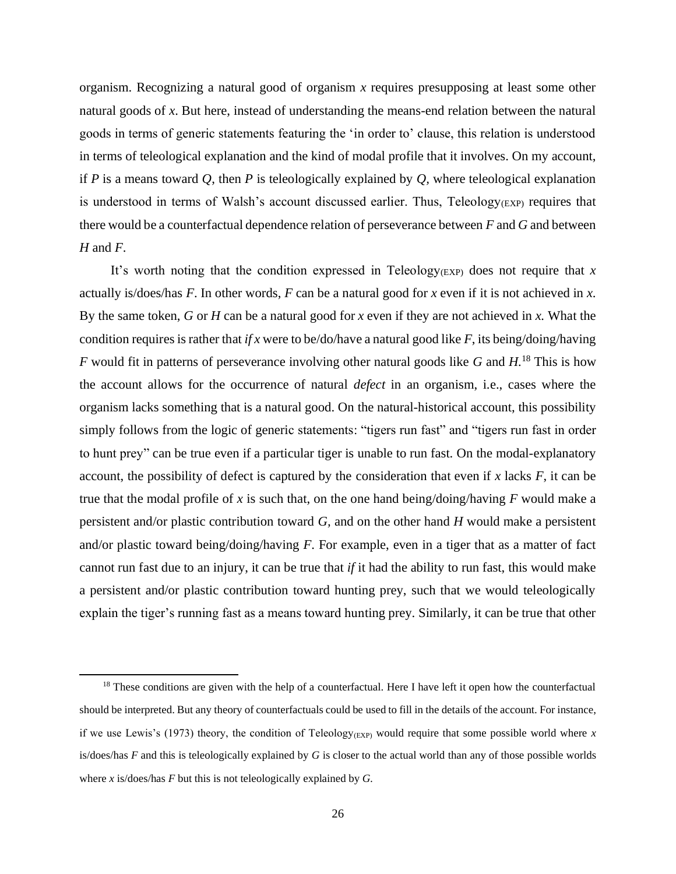organism. Recognizing a natural good of organism *x* requires presupposing at least some other natural goods of *x*. But here, instead of understanding the means-end relation between the natural goods in terms of generic statements featuring the 'in order to' clause, this relation is understood in terms of teleological explanation and the kind of modal profile that it involves. On my account, if *P* is a means toward *Q*, then *P* is teleologically explained by *Q,* where teleological explanation is understood in terms of Walsh's account discussed earlier. Thus, Teleology( $_{EXP}$ ) requires that there would be a counterfactual dependence relation of perseverance between *F* and *G* and between *H* and *F*.

It's worth noting that the condition expressed in Teleology( $_{\rm EXP}$ ) does not require that *x* actually is/does/has *F*. In other words, *F* can be a natural good for *x* even if it is not achieved in *x*. By the same token, *G* or *H* can be a natural good for *x* even if they are not achieved in *x.* What the condition requires is rather that *if x* were to be/do/have a natural good like *F*, its being/doing/having *F* would fit in patterns of perseverance involving other natural goods like *G* and *H.* <sup>18</sup> This is how the account allows for the occurrence of natural *defect* in an organism, i.e., cases where the organism lacks something that is a natural good. On the natural-historical account, this possibility simply follows from the logic of generic statements: "tigers run fast" and "tigers run fast in order to hunt prey" can be true even if a particular tiger is unable to run fast. On the modal-explanatory account, the possibility of defect is captured by the consideration that even if *x* lacks *F*, it can be true that the modal profile of *x* is such that, on the one hand being/doing/having *F* would make a persistent and/or plastic contribution toward *G,* and on the other hand *H* would make a persistent and/or plastic toward being/doing/having *F*. For example, even in a tiger that as a matter of fact cannot run fast due to an injury, it can be true that *if* it had the ability to run fast, this would make a persistent and/or plastic contribution toward hunting prey, such that we would teleologically explain the tiger's running fast as a means toward hunting prey. Similarly, it can be true that other

<sup>&</sup>lt;sup>18</sup> These conditions are given with the help of a counterfactual. Here I have left it open how the counterfactual should be interpreted. But any theory of counterfactuals could be used to fill in the details of the account. For instance, if we use Lewis's (1973) theory, the condition of Teleology<sub>(EXP)</sub> would require that some possible world where  $x$ is/does/has *F* and this is teleologically explained by *G* is closer to the actual world than any of those possible worlds where *x* is/does/has *F* but this is not teleologically explained by *G.*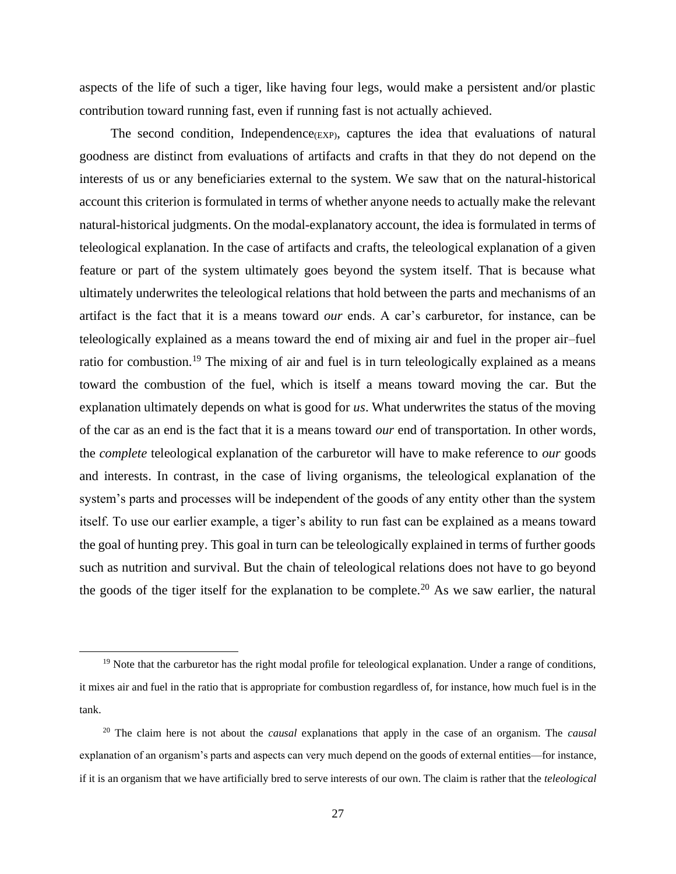aspects of the life of such a tiger, like having four legs, would make a persistent and/or plastic contribution toward running fast, even if running fast is not actually achieved.

The second condition, Independence  $(EXP)$ , captures the idea that evaluations of natural goodness are distinct from evaluations of artifacts and crafts in that they do not depend on the interests of us or any beneficiaries external to the system. We saw that on the natural-historical account this criterion is formulated in terms of whether anyone needs to actually make the relevant natural-historical judgments. On the modal-explanatory account, the idea is formulated in terms of teleological explanation. In the case of artifacts and crafts, the teleological explanation of a given feature or part of the system ultimately goes beyond the system itself. That is because what ultimately underwrites the teleological relations that hold between the parts and mechanisms of an artifact is the fact that it is a means toward *our* ends. A car's carburetor, for instance, can be teleologically explained as a means toward the end of mixing air and fuel in the proper air–fuel ratio for combustion.<sup>19</sup> The mixing of air and fuel is in turn teleologically explained as a means toward the combustion of the fuel, which is itself a means toward moving the car. But the explanation ultimately depends on what is good for *us*. What underwrites the status of the moving of the car as an end is the fact that it is a means toward *our* end of transportation*.* In other words, the *complete* teleological explanation of the carburetor will have to make reference to *our* goods and interests. In contrast, in the case of living organisms, the teleological explanation of the system's parts and processes will be independent of the goods of any entity other than the system itself. To use our earlier example, a tiger's ability to run fast can be explained as a means toward the goal of hunting prey. This goal in turn can be teleologically explained in terms of further goods such as nutrition and survival. But the chain of teleological relations does not have to go beyond the goods of the tiger itself for the explanation to be complete.<sup>20</sup> As we saw earlier, the natural

 $19$  Note that the carburetor has the right modal profile for teleological explanation. Under a range of conditions, it mixes air and fuel in the ratio that is appropriate for combustion regardless of, for instance, how much fuel is in the tank.

<sup>20</sup> The claim here is not about the *causal* explanations that apply in the case of an organism. The *causal*  explanation of an organism's parts and aspects can very much depend on the goods of external entities—for instance, if it is an organism that we have artificially bred to serve interests of our own. The claim is rather that the *teleological*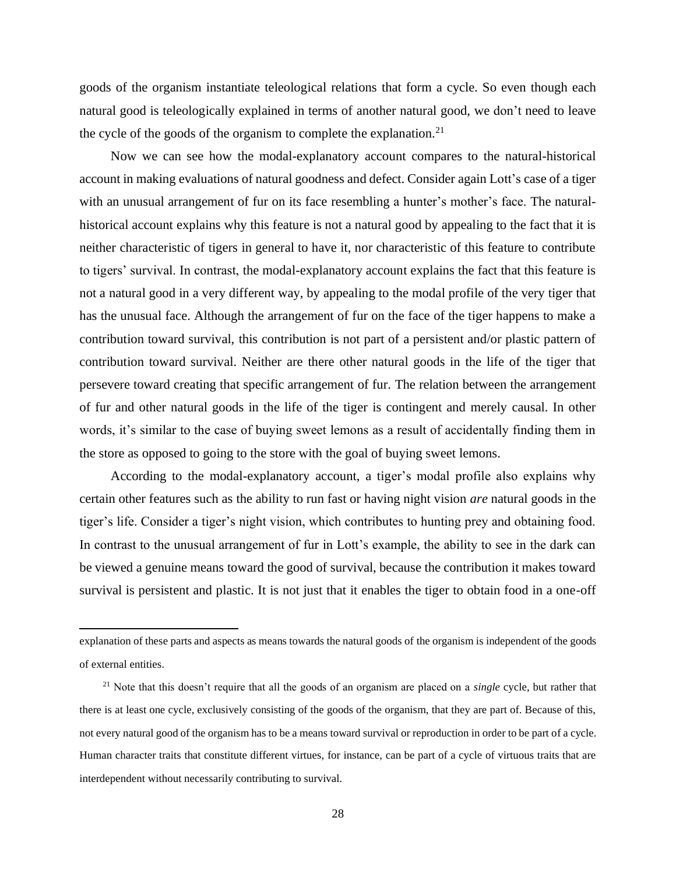goods of the organism instantiate teleological relations that form a cycle. So even though each natural good is teleologically explained in terms of another natural good, we don't need to leave the cycle of the goods of the organism to complete the explanation.<sup>21</sup>

Now we can see how the modal-explanatory account compares to the natural-historical account in making evaluations of natural goodness and defect. Consider again Lott's case of a tiger with an unusual arrangement of fur on its face resembling a hunter's mother's face. The naturalhistorical account explains why this feature is not a natural good by appealing to the fact that it is neither characteristic of tigers in general to have it, nor characteristic of this feature to contribute to tigers' survival. In contrast, the modal-explanatory account explains the fact that this feature is not a natural good in a very different way, by appealing to the modal profile of the very tiger that has the unusual face. Although the arrangement of fur on the face of the tiger happens to make a contribution toward survival, this contribution is not part of a persistent and/or plastic pattern of contribution toward survival. Neither are there other natural goods in the life of the tiger that persevere toward creating that specific arrangement of fur. The relation between the arrangement of fur and other natural goods in the life of the tiger is contingent and merely causal. In other words, it's similar to the case of buying sweet lemons as a result of accidentally finding them in the store as opposed to going to the store with the goal of buying sweet lemons.

According to the modal-explanatory account, a tiger's modal profile also explains why certain other features such as the ability to run fast or having night vision *are* natural goods in the tiger's life. Consider a tiger's night vision, which contributes to hunting prey and obtaining food. In contrast to the unusual arrangement of fur in Lott's example, the ability to see in the dark can be viewed a genuine means toward the good of survival, because the contribution it makes toward survival is persistent and plastic. It is not just that it enables the tiger to obtain food in a one-off

explanation of these parts and aspects as means towards the natural goods of the organism is independent of the goods of external entities.

<sup>21</sup> Note that this doesn't require that all the goods of an organism are placed on a *single* cycle, but rather that there is at least one cycle, exclusively consisting of the goods of the organism, that they are part of. Because of this, not every natural good of the organism has to be a means toward survival or reproduction in order to be part of a cycle. Human character traits that constitute different virtues, for instance, can be part of a cycle of virtuous traits that are interdependent without necessarily contributing to survival.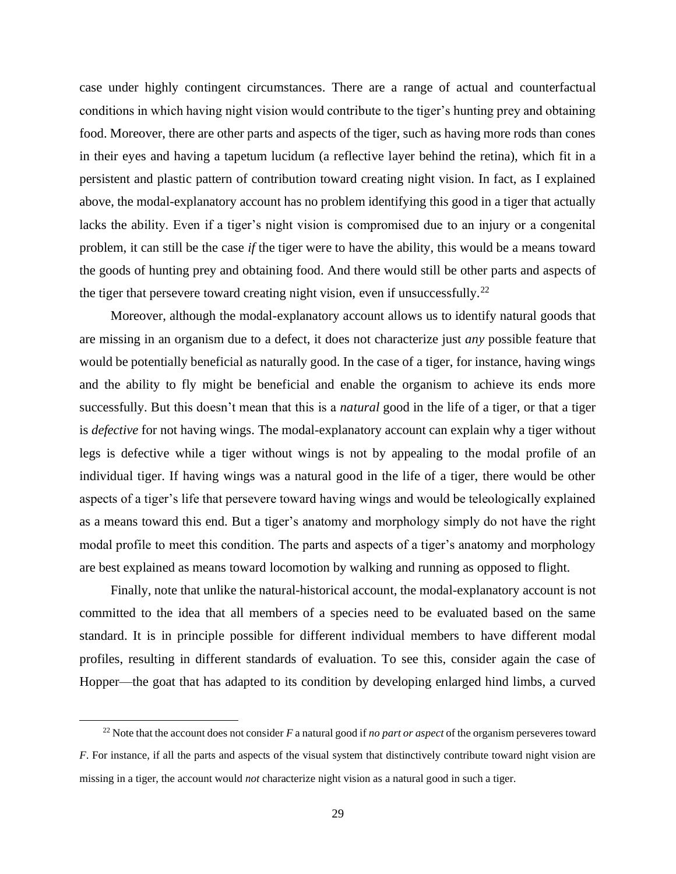case under highly contingent circumstances. There are a range of actual and counterfactual conditions in which having night vision would contribute to the tiger's hunting prey and obtaining food. Moreover, there are other parts and aspects of the tiger, such as having more rods than cones in their eyes and having a tapetum lucidum (a reflective layer behind the retina), which fit in a persistent and plastic pattern of contribution toward creating night vision. In fact, as I explained above, the modal-explanatory account has no problem identifying this good in a tiger that actually lacks the ability. Even if a tiger's night vision is compromised due to an injury or a congenital problem, it can still be the case *if* the tiger were to have the ability, this would be a means toward the goods of hunting prey and obtaining food. And there would still be other parts and aspects of the tiger that persevere toward creating night vision, even if unsuccessfully.<sup>22</sup>

Moreover, although the modal-explanatory account allows us to identify natural goods that are missing in an organism due to a defect, it does not characterize just *any* possible feature that would be potentially beneficial as naturally good. In the case of a tiger, for instance, having wings and the ability to fly might be beneficial and enable the organism to achieve its ends more successfully. But this doesn't mean that this is a *natural* good in the life of a tiger, or that a tiger is *defective* for not having wings. The modal-explanatory account can explain why a tiger without legs is defective while a tiger without wings is not by appealing to the modal profile of an individual tiger. If having wings was a natural good in the life of a tiger, there would be other aspects of a tiger's life that persevere toward having wings and would be teleologically explained as a means toward this end. But a tiger's anatomy and morphology simply do not have the right modal profile to meet this condition. The parts and aspects of a tiger's anatomy and morphology are best explained as means toward locomotion by walking and running as opposed to flight.

Finally, note that unlike the natural-historical account, the modal-explanatory account is not committed to the idea that all members of a species need to be evaluated based on the same standard. It is in principle possible for different individual members to have different modal profiles, resulting in different standards of evaluation. To see this, consider again the case of Hopper—the goat that has adapted to its condition by developing enlarged hind limbs, a curved

<sup>&</sup>lt;sup>22</sup> Note that the account does not consider  $F$  a natural good if *no part or aspect* of the organism perseveres toward *F*. For instance, if all the parts and aspects of the visual system that distinctively contribute toward night vision are missing in a tiger, the account would *not* characterize night vision as a natural good in such a tiger.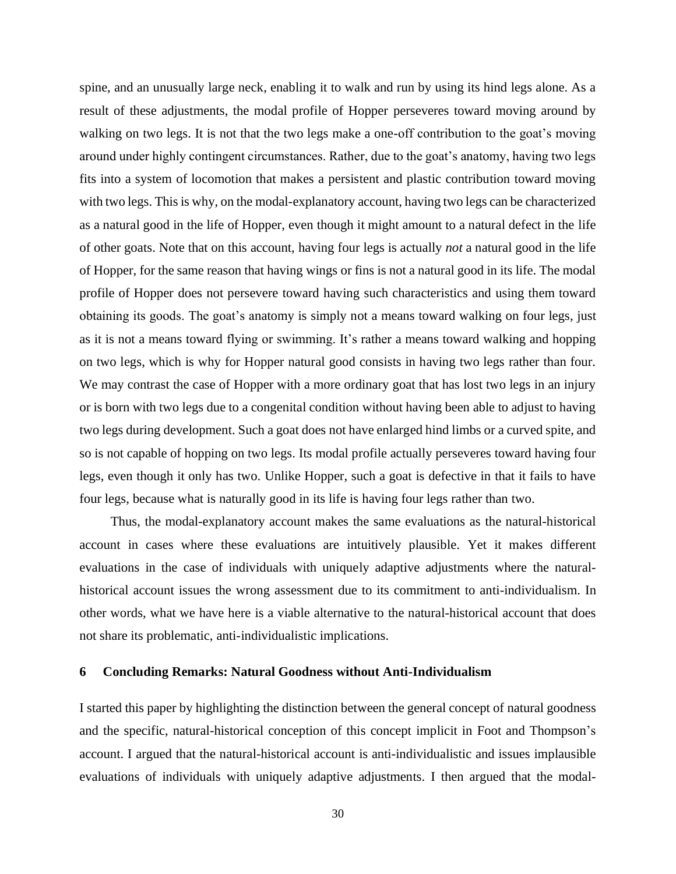spine, and an unusually large neck, enabling it to walk and run by using its hind legs alone. As a result of these adjustments, the modal profile of Hopper perseveres toward moving around by walking on two legs. It is not that the two legs make a one-off contribution to the goat's moving around under highly contingent circumstances. Rather, due to the goat's anatomy, having two legs fits into a system of locomotion that makes a persistent and plastic contribution toward moving with two legs. This is why, on the modal-explanatory account, having two legs can be characterized as a natural good in the life of Hopper, even though it might amount to a natural defect in the life of other goats. Note that on this account, having four legs is actually *not* a natural good in the life of Hopper, for the same reason that having wings or fins is not a natural good in its life. The modal profile of Hopper does not persevere toward having such characteristics and using them toward obtaining its goods. The goat's anatomy is simply not a means toward walking on four legs, just as it is not a means toward flying or swimming. It's rather a means toward walking and hopping on two legs, which is why for Hopper natural good consists in having two legs rather than four. We may contrast the case of Hopper with a more ordinary goat that has lost two legs in an injury or is born with two legs due to a congenital condition without having been able to adjust to having two legs during development. Such a goat does not have enlarged hind limbs or a curved spite, and so is not capable of hopping on two legs. Its modal profile actually perseveres toward having four legs, even though it only has two. Unlike Hopper, such a goat is defective in that it fails to have four legs, because what is naturally good in its life is having four legs rather than two.

Thus, the modal-explanatory account makes the same evaluations as the natural-historical account in cases where these evaluations are intuitively plausible. Yet it makes different evaluations in the case of individuals with uniquely adaptive adjustments where the naturalhistorical account issues the wrong assessment due to its commitment to anti-individualism. In other words, what we have here is a viable alternative to the natural-historical account that does not share its problematic, anti-individualistic implications.

#### **6 Concluding Remarks: Natural Goodness without Anti-Individualism**

I started this paper by highlighting the distinction between the general concept of natural goodness and the specific, natural-historical conception of this concept implicit in Foot and Thompson's account. I argued that the natural-historical account is anti-individualistic and issues implausible evaluations of individuals with uniquely adaptive adjustments. I then argued that the modal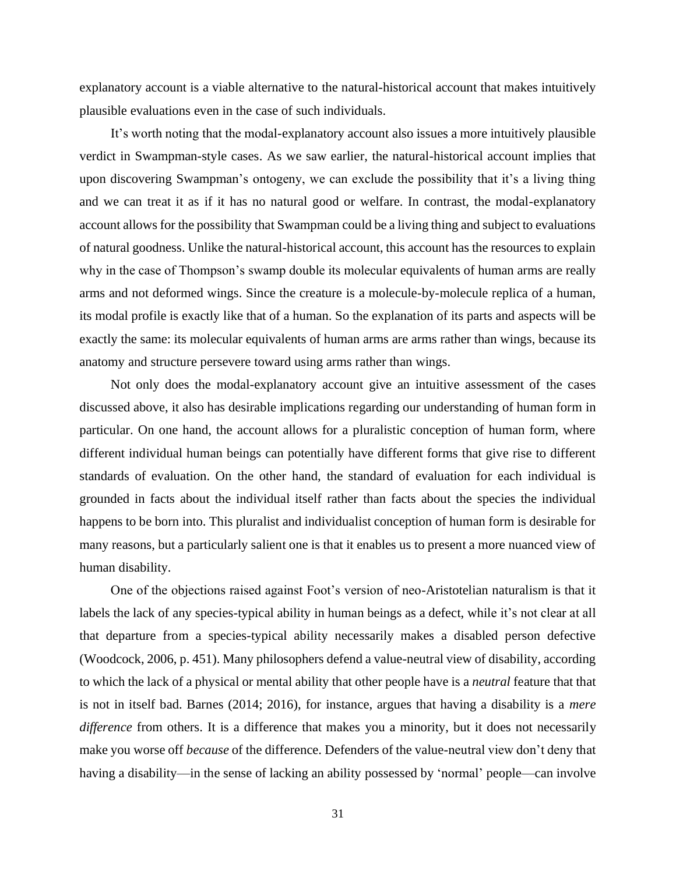explanatory account is a viable alternative to the natural-historical account that makes intuitively plausible evaluations even in the case of such individuals.

It's worth noting that the modal-explanatory account also issues a more intuitively plausible verdict in Swampman-style cases. As we saw earlier, the natural-historical account implies that upon discovering Swampman's ontogeny, we can exclude the possibility that it's a living thing and we can treat it as if it has no natural good or welfare. In contrast, the modal-explanatory account allows for the possibility that Swampman could be a living thing and subject to evaluations of natural goodness. Unlike the natural-historical account, this account has the resources to explain why in the case of Thompson's swamp double its molecular equivalents of human arms are really arms and not deformed wings. Since the creature is a molecule-by-molecule replica of a human, its modal profile is exactly like that of a human. So the explanation of its parts and aspects will be exactly the same: its molecular equivalents of human arms are arms rather than wings, because its anatomy and structure persevere toward using arms rather than wings.

Not only does the modal-explanatory account give an intuitive assessment of the cases discussed above, it also has desirable implications regarding our understanding of human form in particular. On one hand, the account allows for a pluralistic conception of human form, where different individual human beings can potentially have different forms that give rise to different standards of evaluation. On the other hand, the standard of evaluation for each individual is grounded in facts about the individual itself rather than facts about the species the individual happens to be born into. This pluralist and individualist conception of human form is desirable for many reasons, but a particularly salient one is that it enables us to present a more nuanced view of human disability.

One of the objections raised against Foot's version of neo-Aristotelian naturalism is that it labels the lack of any species-typical ability in human beings as a defect, while it's not clear at all that departure from a species-typical ability necessarily makes a disabled person defective (Woodcock, 2006, p. 451). Many philosophers defend a value-neutral view of disability, according to which the lack of a physical or mental ability that other people have is a *neutral* feature that that is not in itself bad. Barnes (2014; 2016), for instance, argues that having a disability is a *mere difference* from others. It is a difference that makes you a minority, but it does not necessarily make you worse off *because* of the difference. Defenders of the value-neutral view don't deny that having a disability—in the sense of lacking an ability possessed by 'normal' people—can involve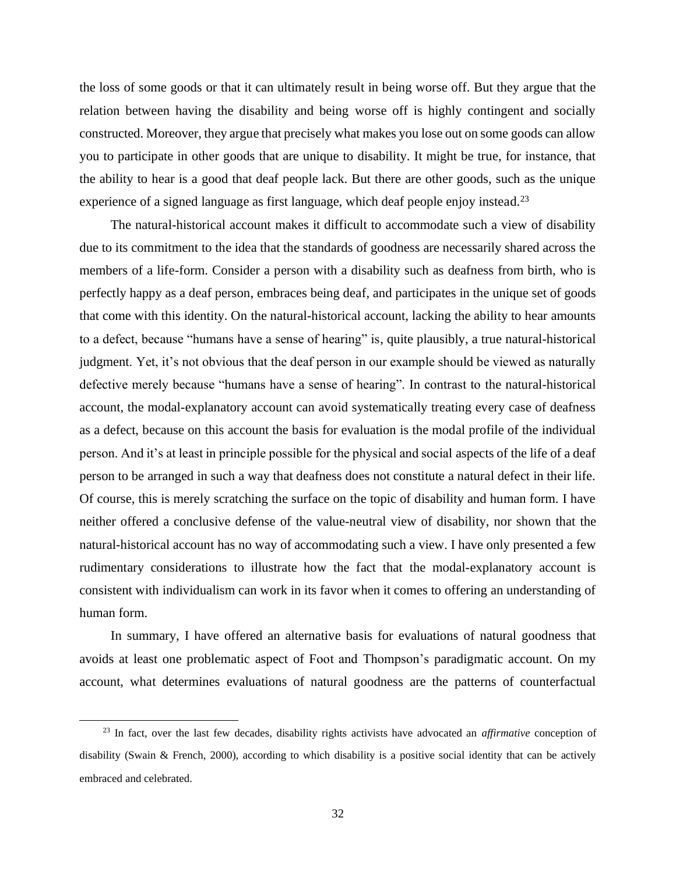the loss of some goods or that it can ultimately result in being worse off. But they argue that the relation between having the disability and being worse off is highly contingent and socially constructed. Moreover, they argue that precisely what makes you lose out on some goods can allow you to participate in other goods that are unique to disability. It might be true, for instance, that the ability to hear is a good that deaf people lack. But there are other goods, such as the unique experience of a signed language as first language, which deaf people enjoy instead.<sup>23</sup>

The natural-historical account makes it difficult to accommodate such a view of disability due to its commitment to the idea that the standards of goodness are necessarily shared across the members of a life-form. Consider a person with a disability such as deafness from birth, who is perfectly happy as a deaf person, embraces being deaf, and participates in the unique set of goods that come with this identity. On the natural-historical account, lacking the ability to hear amounts to a defect, because "humans have a sense of hearing" is, quite plausibly, a true natural-historical judgment. Yet, it's not obvious that the deaf person in our example should be viewed as naturally defective merely because "humans have a sense of hearing". In contrast to the natural-historical account, the modal-explanatory account can avoid systematically treating every case of deafness as a defect, because on this account the basis for evaluation is the modal profile of the individual person. And it's at least in principle possible for the physical and social aspects of the life of a deaf person to be arranged in such a way that deafness does not constitute a natural defect in their life. Of course, this is merely scratching the surface on the topic of disability and human form. I have neither offered a conclusive defense of the value-neutral view of disability, nor shown that the natural-historical account has no way of accommodating such a view. I have only presented a few rudimentary considerations to illustrate how the fact that the modal-explanatory account is consistent with individualism can work in its favor when it comes to offering an understanding of human form.

In summary, I have offered an alternative basis for evaluations of natural goodness that avoids at least one problematic aspect of Foot and Thompson's paradigmatic account. On my account, what determines evaluations of natural goodness are the patterns of counterfactual

<sup>23</sup> In fact, over the last few decades, disability rights activists have advocated an *affirmative* conception of disability (Swain & French, 2000), according to which disability is a positive social identity that can be actively embraced and celebrated.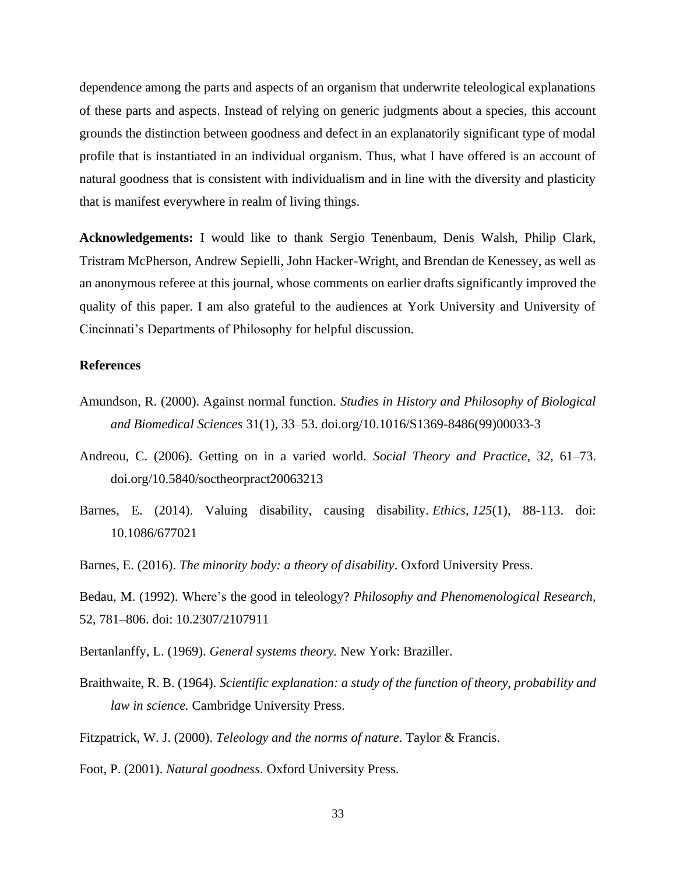dependence among the parts and aspects of an organism that underwrite teleological explanations of these parts and aspects. Instead of relying on generic judgments about a species, this account grounds the distinction between goodness and defect in an explanatorily significant type of modal profile that is instantiated in an individual organism. Thus, what I have offered is an account of natural goodness that is consistent with individualism and in line with the diversity and plasticity that is manifest everywhere in realm of living things.

**Acknowledgements:** I would like to thank Sergio Tenenbaum, Denis Walsh, Philip Clark, Tristram McPherson, Andrew Sepielli, John Hacker-Wright, and Brendan de Kenessey, as well as an anonymous referee at this journal, whose comments on earlier drafts significantly improved the quality of this paper. I am also grateful to the audiences at York University and University of Cincinnati's Departments of Philosophy for helpful discussion.

#### **References**

- Amundson, R. (2000). Against normal function. *Studies in History and Philosophy of Biological and Biomedical Sciences* 31(1), 33–53. doi.org/10.1016/S1369-8486(99)00033-3
- Andreou, C. (2006). Getting on in a varied world. *Social Theory and Practice*, *32*, 61–73. doi.org/10.5840/soctheorpract20063213
- Barnes, E. (2014). Valuing disability, causing disability. *Ethics*, *125*(1), 88-113. doi: 10.1086/677021

Barnes, E. (2016). *The minority body: a theory of disability*. Oxford University Press.

Bedau, M. (1992). Where's the good in teleology? *Philosophy and Phenomenological Research,* 52, 781–806. doi: 10.2307/2107911

- Bertanlanffy, L. (1969). *General systems theory.* New York: Braziller.
- Braithwaite, R. B. (1964). *Scientific explanation: a study of the function of theory, probability and law in science.* Cambridge University Press.

Fitzpatrick, W. J. (2000). *Teleology and the norms of nature*. Taylor & Francis.

Foot, P. (2001). *Natural goodness*. Oxford University Press.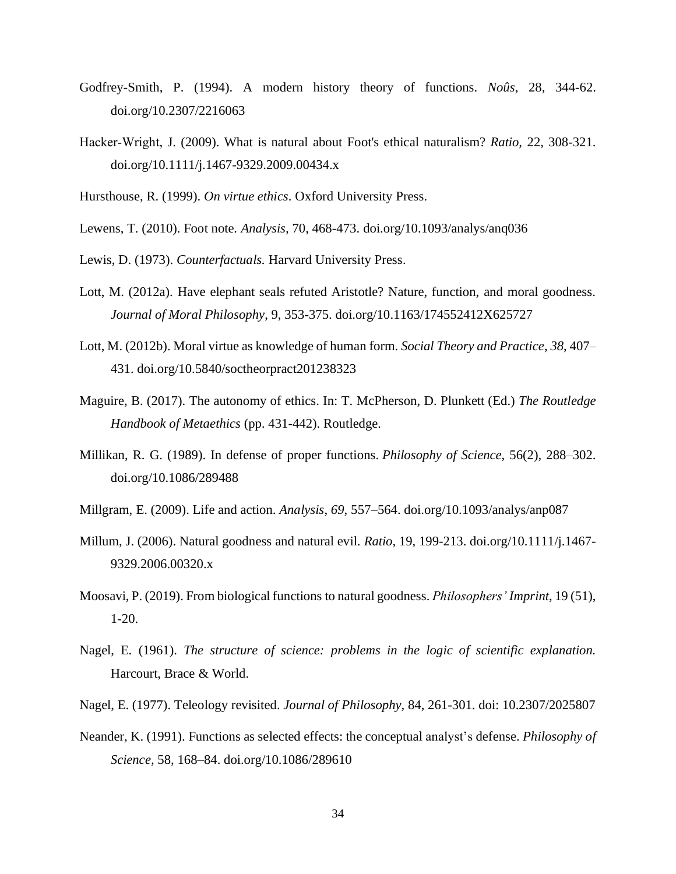- Godfrey-Smith, P. (1994). A modern history theory of functions. *Noûs*, 28, 344-62. doi.org/10.2307/2216063
- Hacker‐Wright, J. (2009). What is natural about Foot's ethical naturalism? *Ratio,* 22, 308-321. doi.org/10.1111/j.1467-9329.2009.00434.x
- Hursthouse, R. (1999). *On virtue ethics*. Oxford University Press.
- Lewens, T. (2010). Foot note. *Analysis,* 70, 468-473. doi.org/10.1093/analys/anq036
- Lewis, D. (1973). *Counterfactuals.* Harvard University Press.
- Lott, M. (2012a). Have elephant seals refuted Aristotle? Nature, function, and moral goodness. *Journal of Moral Philosophy*, 9, 353-375. doi.org/10.1163/174552412X625727
- Lott, M. (2012b). Moral virtue as knowledge of human form. *Social Theory and Practice*, *38*, 407– 431. doi.org/10.5840/soctheorpract201238323
- Maguire, B. (2017). The autonomy of ethics. In: T. McPherson, D. Plunkett (Ed.) *The Routledge Handbook of Metaethics* (pp. 431-442). Routledge.
- Millikan, R. G. (1989). In defense of proper functions. *Philosophy of Science*, 56(2), 288–302. doi.org/10.1086/289488
- Millgram, E. (2009). Life and action. *Analysis*, *69*, 557–564. doi.org/10.1093/analys/anp087
- Millum, J. (2006). Natural goodness and natural evil. *Ratio,* 19, 199-213. doi.org/10.1111/j.1467- 9329.2006.00320.x
- Moosavi, P. (2019). From biological functions to natural goodness. *Philosophers' Imprint*, 19 (51), 1-20.
- Nagel, E. (1961). *The structure of science: problems in the logic of scientific explanation.* Harcourt, Brace & World.
- Nagel, E. (1977). Teleology revisited. *Journal of Philosophy,* 84, 261-301. doi: 10.2307/2025807
- Neander, K. (1991). Functions as selected effects: the conceptual analyst's defense. *Philosophy of Science,* 58, 168–84. doi.org/10.1086/289610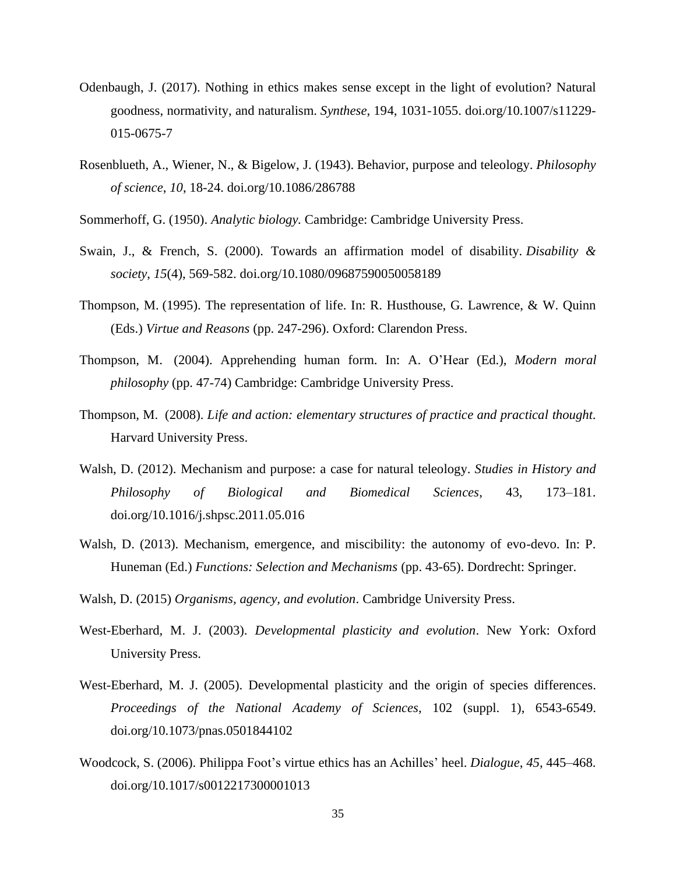- Odenbaugh, J. (2017). Nothing in ethics makes sense except in the light of evolution? Natural goodness, normativity, and naturalism. *Synthese*, 194, 1031-1055. doi.org/10.1007/s11229- 015-0675-7
- Rosenblueth, A., Wiener, N., & Bigelow, J. (1943). Behavior, purpose and teleology. *Philosophy of science*, *10*, 18-24. doi.org/10.1086/286788
- Sommerhoff, G. (1950). *Analytic biology.* Cambridge: Cambridge University Press.
- Swain, J., & French, S. (2000). Towards an affirmation model of disability. *Disability & society*, *15*(4), 569-582. doi.org/10.1080/09687590050058189
- Thompson, M. (1995). The representation of life. In: R. Husthouse, G. Lawrence, & W. Quinn (Eds.) *Virtue and Reasons* (pp. 247-296). Oxford: Clarendon Press.
- Thompson, M. (2004). Apprehending human form. In: A. O'Hear (Ed.), *Modern moral philosophy* (pp. 47-74) Cambridge: Cambridge University Press.
- Thompson, M. (2008). *Life and action: elementary structures of practice and practical thought*. Harvard University Press.
- Walsh, D. (2012). Mechanism and purpose: a case for natural teleology. *Studies in History and Philosophy of Biological and Biomedical Sciences*, 43, 173–181. doi.org/10.1016/j.shpsc.2011.05.016
- Walsh, D. (2013). Mechanism, emergence, and miscibility: the autonomy of evo-devo. In: P. Huneman (Ed.) *Functions: Selection and Mechanisms* (pp. 43-65). Dordrecht: Springer.
- Walsh, D. (2015) *Organisms, agency, and evolution*. Cambridge University Press.
- West-Eberhard, M. J. (2003). *Developmental plasticity and evolution*. New York: Oxford University Press.
- West-Eberhard, M. J. (2005). Developmental plasticity and the origin of species differences. *Proceedings of the National Academy of Sciences*, 102 (suppl. 1), 6543-6549. doi.org/10.1073/pnas.0501844102
- Woodcock, S. (2006). Philippa Foot's virtue ethics has an Achilles' heel. *Dialogue*, *45*, 445–468. doi.org/10.1017/s0012217300001013